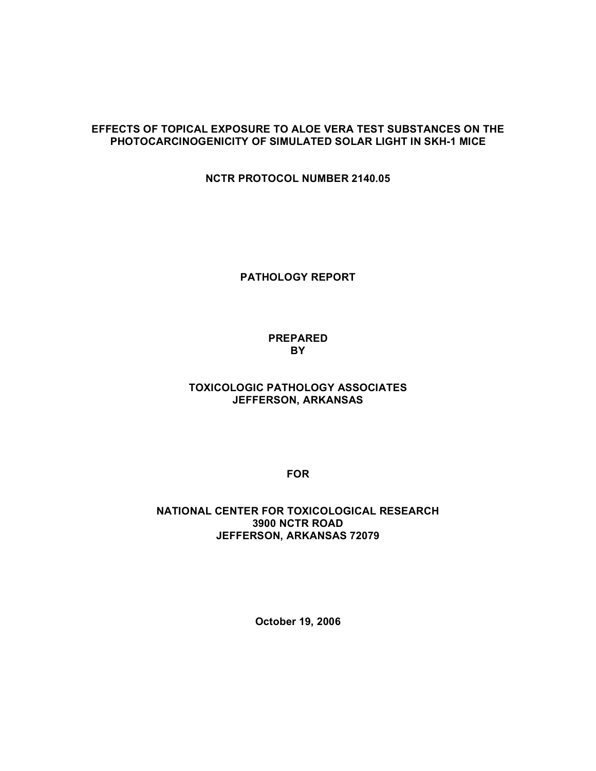## **EFFECTS OF TOPICAL EXPOSURE TO ALOE VERA TEST SUBSTANCES ON THE PHOTOCARCINOGENICITY OF SIMULATED SOLAR LIGHT IN SKH-1 MICE**

 **NCTR PROTOCOL NUMBER 2140.05**

**PATHOLOGY REPORT**

## **PREPARED BY**

## **TOXICOLOGIC PATHOLOGY ASSOCIATES JEFFERSON, ARKANSAS**

**FOR**

#### **NATIONAL CENTER FOR TOXICOLOGICAL RESEARCH 3900 NCTR ROAD JEFFERSON, ARKANSAS 72079**

**October 19, 2006**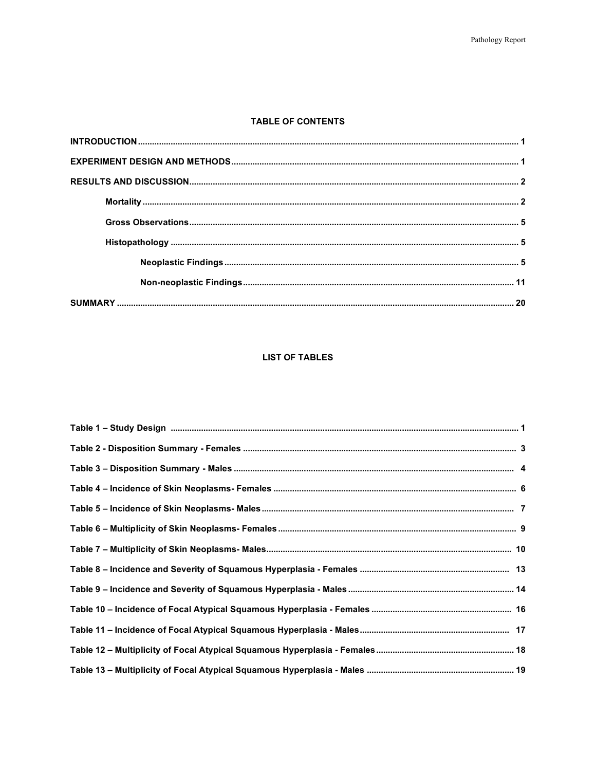#### **TABLE OF CONTENTS**

#### **LIST OF TABLES**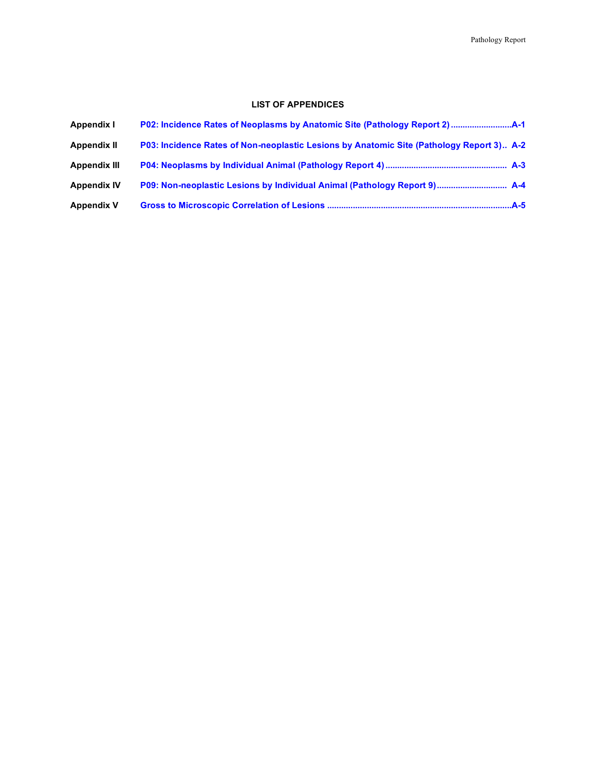#### **LIST OF APPENDICES**

| Appendix I          |                                                                                          |  |
|---------------------|------------------------------------------------------------------------------------------|--|
| <b>Appendix II</b>  | P03: Incidence Rates of Non-neoplastic Lesions by Anatomic Site (Pathology Report 3) A-2 |  |
| <b>Appendix III</b> |                                                                                          |  |
| <b>Appendix IV</b>  |                                                                                          |  |
| <b>Appendix V</b>   |                                                                                          |  |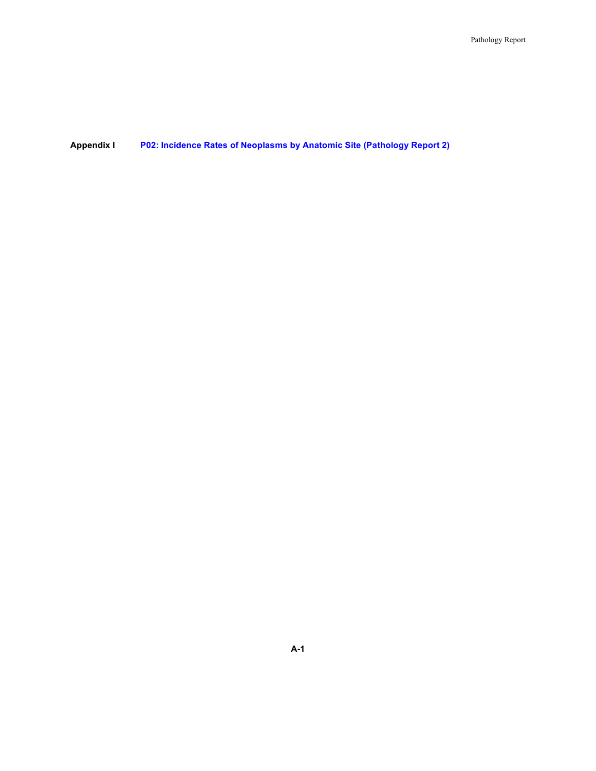#### **Appendix I P02: Incidence Rates of Neoplasms by Anatomic Site (Pathology Report 2)**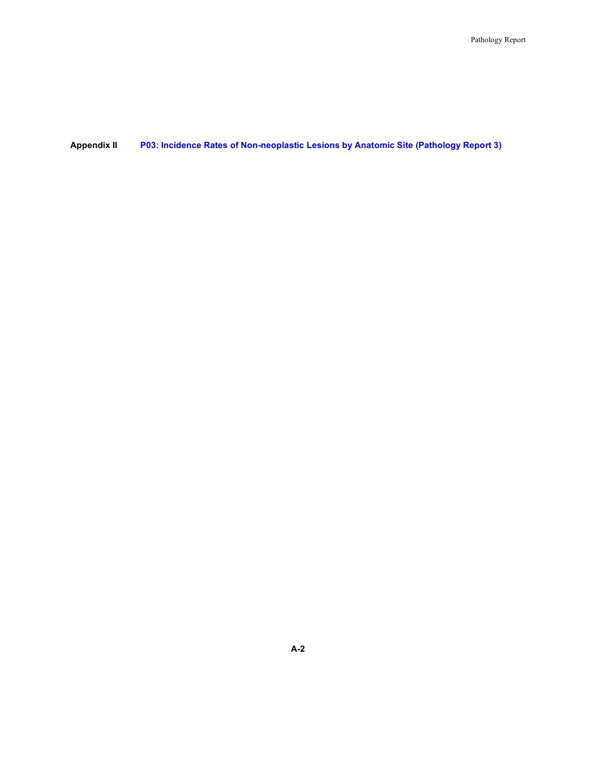#### **Appendix II P03: Incidence Rates of Non-neoplastic Lesions by Anatomic Site (Pathology Report 3)**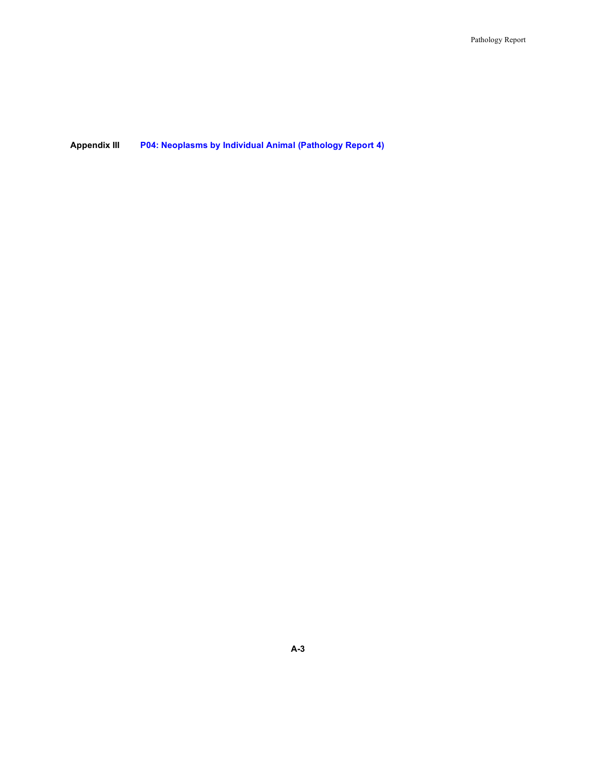**Appendix III P04: Neoplasms by Individual Animal (Pathology Report 4)**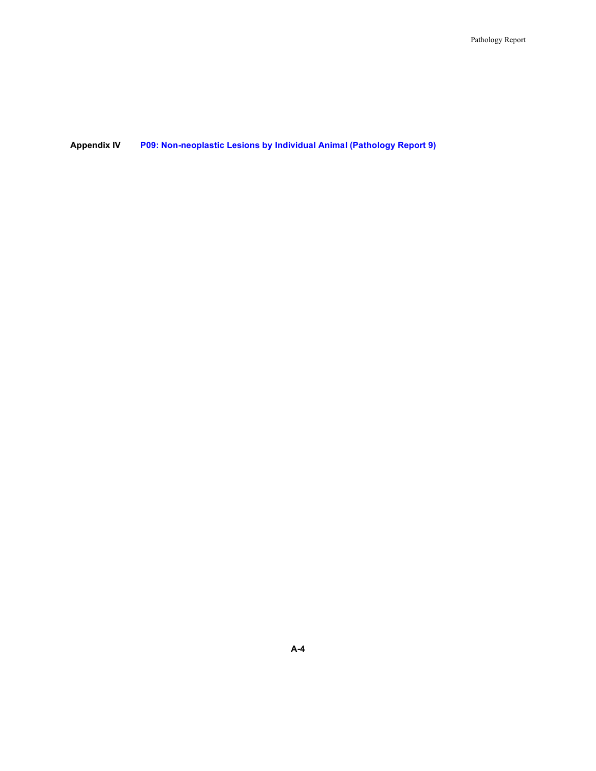#### **Appendix IV P09: Non-neoplastic Lesions by Individual Animal (Pathology Report 9)**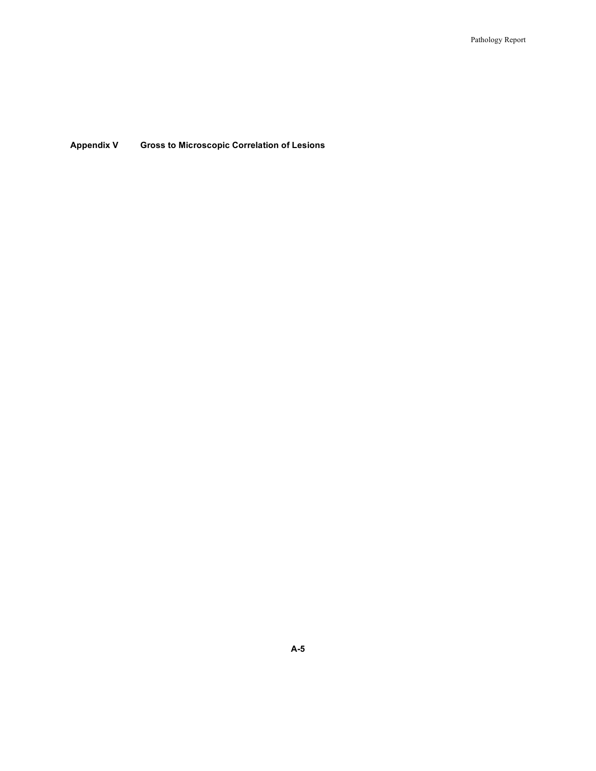**Appendix V Gross to Microscopic Correlation of Lesions**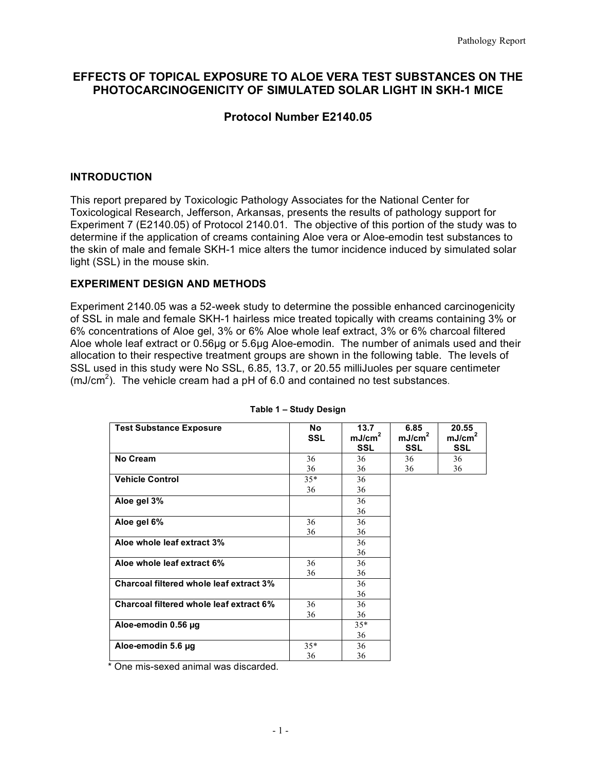## **EFFECTS OF TOPICAL EXPOSURE TO ALOE VERA TEST SUBSTANCES ON THE PHOTOCARCINOGENICITY OF SIMULATED SOLAR LIGHT IN SKH-1 MICE**

## **Protocol Number E2140.05**

#### **INTRODUCTION**

 This report prepared by Toxicologic Pathology Associates for the National Center for Toxicological Research, Jefferson, Arkansas, presents the results of pathology support for Experiment 7 (E2140.05) of Protocol 2140.01. The objective of this portion of the study was to determine if the application of creams containing Aloe vera or Aloe-emodin test substances to the skin of male and female SKH-1 mice alters the tumor incidence induced by simulated solar light (SSL) in the mouse skin.

#### **EXPERIMENT DESIGN AND METHODS**

 Experiment 2140.05 was a 52-week study to determine the possible enhanced carcinogenicity 6% concentrations of Aloe gel, 3% or 6% Aloe whole leaf extract, 3% or 6% charcoal filtered Aloe whole leaf extract or 0.56µg or 5.6µg Aloe-emodin. The number of animals used and their allocation to their respective treatment groups are shown in the following table. The levels of SSL used in this study were No SSL, 6.85, 13.7, or 20.55 milliJuoles per square centimeter (mJ/cm<sup>2</sup>). The vehicle cream had a  $pH$  of 6.0 and contained no test substances. of SSL in male and female SKH-1 hairless mice treated topically with creams containing 3% or

| <b>Test Substance Exposure</b>          | No.<br><b>SSL</b> | 13.7<br>mJ/cm <sup>2</sup><br><b>SSL</b> | 6.85<br>mJ/cm <sup>2</sup><br><b>SSL</b> | 20.55<br>mJ/cm <sup>2</sup><br><b>SSL</b> |
|-----------------------------------------|-------------------|------------------------------------------|------------------------------------------|-------------------------------------------|
| No Cream                                | $36\Box$          | $36\Box$                                 | $36\Box$                                 | $36\Box$                                  |
|                                         | $36\Box$          | $36\Box$                                 | $36\Box$                                 | $36\Box$                                  |
| <b>Vehicle Control</b>                  | $35^*$ $\Box$     | $36\Box$                                 |                                          |                                           |
|                                         | $36\Box$          | $36\Box$                                 |                                          |                                           |
| Aloe gel 3%                             |                   | $36\Box$                                 |                                          |                                           |
|                                         |                   | $36\Box$                                 |                                          |                                           |
| Aloe gel 6%                             | $36\Box$          | $36\Box$                                 |                                          |                                           |
|                                         | $36\Box$          | $36\Box$                                 |                                          |                                           |
| Aloe whole leaf extract 3%              |                   | $36\Box$                                 |                                          |                                           |
|                                         |                   | $36\Box$                                 |                                          |                                           |
| Aloe whole leaf extract 6%              | $36\Box$          | $36\Box$                                 |                                          |                                           |
|                                         | $36\Box$          | $36\Box$                                 |                                          |                                           |
| Charcoal filtered whole leaf extract 3% |                   | $36\Box$                                 |                                          |                                           |
|                                         |                   | $36 \Box$                                |                                          |                                           |
| Charcoal filtered whole leaf extract 6% | $36\Box$          | $36\Box$                                 |                                          |                                           |
|                                         | $36\Box$          | $36\Box$                                 |                                          |                                           |
| Aloe-emodin 0.56 µg                     |                   | $35^*$                                   |                                          |                                           |
|                                         |                   | $36\Box$                                 |                                          |                                           |
| Aloe-emodin 5.6 µg                      | $35^*$ $\Box$     | $36\Box$                                 |                                          |                                           |
|                                         | $36\Box$          | $36\Box$                                 |                                          |                                           |

#### **Table 1 – Study Design**

\* One mis-sexed animal was discarded.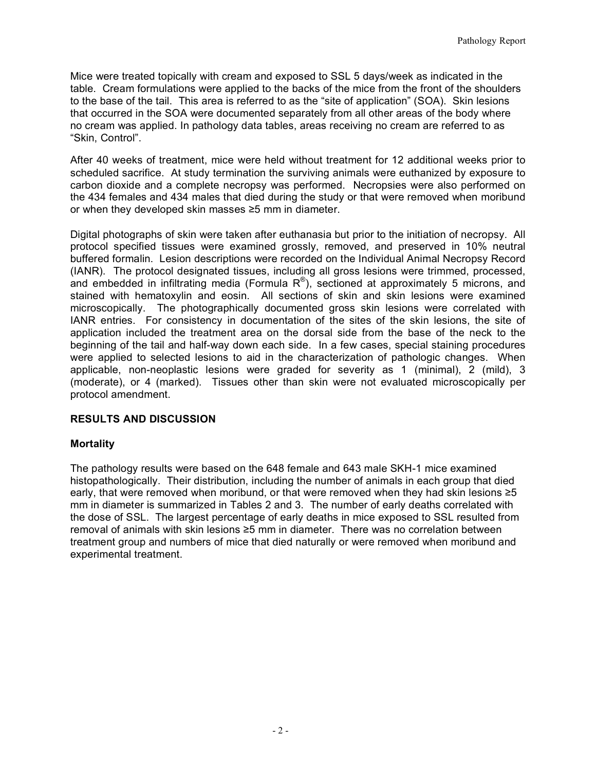Mice were treated topically with cream and exposed to SSL 5 days/week as indicated in the table. Cream formulations were applied to the backs of the mice from the front of the shoulders to the base of the tail. This area is referred to as the "site of application" (SOA). Skin lesions that occurred in the SOA were documented separately from all other areas of the body where no cream was applied. In pathology data tables, areas receiving no cream are referred to as "Skin, Control".

 After 40 weeks of treatment, mice were held without treatment for 12 additional weeks prior to scheduled sacrifice. At study termination the surviving animals were euthanized by exposure to carbon dioxide and a complete necropsy was performed. Necropsies were also performed on the 434 females and 434 males that died during the study or that were removed when moribund or when they developed skin masses ≥5 mm in diameter.

or when they developed skin masses ≥5 mm in diameter.<br>Digital photographs of skin were taken after euthanasia but prior to the initiation of necropsy. All protocol specified tissues were examined grossly, removed, and preserved in 10% neutral buffered formalin. Lesion descriptions were recorded on the Individual Animal Necropsy Record (IANR). The protocol designated tissues, including all gross lesions were trimmed, processed, and embedded in infiltrating media (Formula  $R^{\circledast}$ ), sectioned at approximately 5 microns, and stained with hematoxylin and eosin. All sections of skin and skin lesions were examined microscopically. The photographically documented gross skin lesions were correlated with IANR entries. For consistency in documentation of the sites of the skin lesions, the site of application included the treatment area on the dorsal side from the base of the neck to the beginning of the tail and half-way down each side. In a few cases, special staining procedures were applied to selected lesions to aid in the characterization of pathologic changes. When applicable, non-neoplastic lesions were graded for severity as 1 (minimal), 2 (mild), 3 (moderate), or 4 (marked). Tissues other than skin were not evaluated microscopically per protocol amendment.

## **RESULTS AND DISCUSSION**

#### **Mortality**

 The pathology results were based on the 648 female and 643 male SKH-1 mice examined histopathologically. Their distribution, including the number of animals in each group that died early, that were removed when moribund, or that were removed when they had skin lesions ≥5 mm in diameter is summarized in Tables 2 and 3. The number of early deaths correlated with the dose of SSL. The largest percentage of early deaths in mice exposed to SSL resulted from removal of animals with skin lesions ≥5 mm in diameter. There was no correlation between treatment group and numbers of mice that died naturally or were removed when moribund and experimental treatment.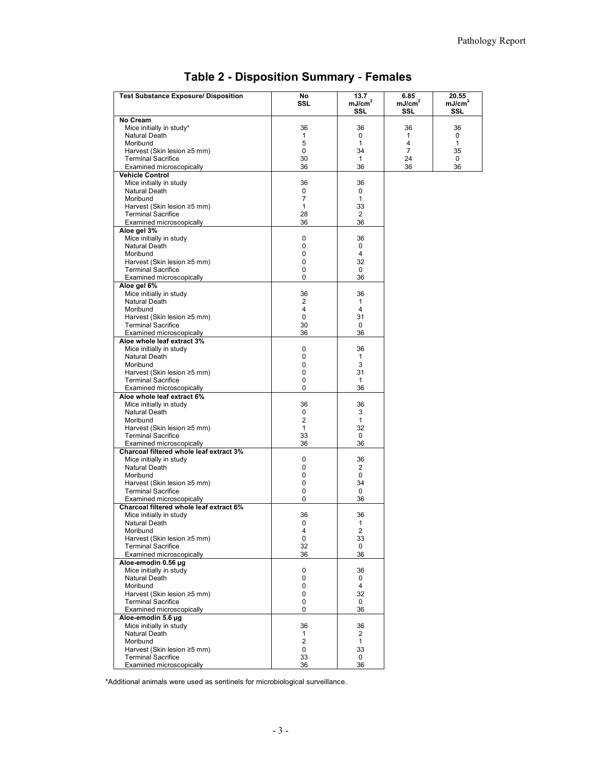| <b>Test Substance Exposure/ Disposition</b> | No                 | 13.7               | 6.85               | 20.55              |
|---------------------------------------------|--------------------|--------------------|--------------------|--------------------|
|                                             | SSL                | mJ/cm <sup>2</sup> | mJ/cm <sup>2</sup> | mJ/cm <sup>2</sup> |
|                                             |                    | SSL                | SSL                | SSL                |
| No Cream                                    |                    |                    |                    |                    |
| Mice initially in study*<br>Natural Death   | 36<br>$\mathbf{1}$ | 36<br>$\mathbf 0$  | 36<br>1            | 36                 |
| Moribund                                    | 5                  | $\mathbf{1}$       | 4                  | 0<br>1             |
| Harvest (Skin lesion ≥5 mm)                 | 0                  | 34                 | 7                  | 35                 |
| <b>Terminal Sacrifice</b>                   | 30                 | $\mathbf{1}$       | 24                 | 0                  |
| Examined microscopically                    | 36                 | 36                 | 36                 | 36                 |
| Vehicle Control                             |                    |                    |                    |                    |
| Mice initially in study                     | 36                 | 36                 |                    |                    |
| Natural Death                               | 0                  | 0                  |                    |                    |
| Moribund                                    | $\overline{7}$     | 1                  |                    |                    |
| Harvest (Skin lesion ≥5 mm)                 | $\mathbf{1}$       | 33                 |                    |                    |
| <b>Terminal Sacrifice</b>                   | 28                 | $\overline{2}$     |                    |                    |
| Examined microscopically                    | 36                 | 36                 |                    |                    |
| Aloe gel 3%                                 |                    |                    |                    |                    |
| Mice initially in study                     | 0                  | 36                 |                    |                    |
| Natural Death                               | 0                  | 0                  |                    |                    |
| Moribund                                    | $\mathbf 0$        | $\overline{4}$     |                    |                    |
| Harvest (Skin lesion ≥5 mm)                 | 0                  | 32                 |                    |                    |
| <b>Terminal Sacrifice</b>                   | 0                  | 0                  |                    |                    |
| Examined microscopically                    | $\Omega$           | 36                 |                    |                    |
| Aloe gel 6%                                 |                    |                    |                    |                    |
| Mice initially in study                     | 36                 | 36                 |                    |                    |
| Natural Death                               | 2                  | $\mathbf{1}$       |                    |                    |
| Moribund                                    | $\overline{4}$     | 4                  |                    |                    |
| Harvest (Skin lesion ≥5 mm)                 | 0                  | 31                 |                    |                    |
| <b>Terminal Sacrifice</b>                   | 30                 | 0                  |                    |                    |
| Examined microscopically                    | 36                 | 36                 |                    |                    |
| Aloe whole leaf extract 3%                  |                    |                    |                    |                    |
| Mice initially in study                     | $\mathbf 0$        | 36                 |                    |                    |
| Natural Death                               | 0                  | $\mathbf{1}$       |                    |                    |
| Moribund                                    | $\mathbf 0$        | 3                  |                    |                    |
| Harvest (Skin lesion ≥5 mm)                 | 0                  | 31                 |                    |                    |
| <b>Terminal Sacrifice</b>                   | $\mathbf 0$        | $\mathbf{1}$       |                    |                    |
| Examined microscopically                    | $\Omega$           | 36                 |                    |                    |
| Aloe whole leaf extract 6%                  |                    |                    |                    |                    |
| Mice initially in study                     | 36                 | 36                 |                    |                    |
| Natural Death                               | 0                  | 3                  |                    |                    |
| Moribund                                    | $\overline{2}$     | $\mathbf{1}$       |                    |                    |
| Harvest (Skin lesion ≥5 mm)                 | 1                  | 32                 |                    |                    |
| <b>Terminal Sacrifice</b>                   | 33                 | 0                  |                    |                    |
| Examined microscopically                    | 36                 | 36                 |                    |                    |
| Charcoal filtered whole leaf extract 3%     |                    |                    |                    |                    |
| Mice initially in study                     | 0                  | 36                 |                    |                    |
| Natural Death                               | $\mathbf 0$        | 2                  |                    |                    |
| Moribund                                    | 0                  | 0                  |                    |                    |
| Harvest (Skin lesion ≥5 mm)                 | $\mathbf 0$        | 34                 |                    |                    |
| <b>Terminal Sacrifice</b>                   | $\mathbf 0$        | 0                  |                    |                    |
| Examined microscopically                    | 0                  | 36                 |                    |                    |
| Charcoal filtered whole leaf extract 6%     |                    |                    |                    |                    |
| Mice initially in study                     | 36                 | 36                 |                    |                    |
| Natural Death                               | $\Omega$           | $\mathbf{1}$       |                    |                    |
| Moribund                                    | 4                  | 2                  |                    |                    |
| Harvest (Skin lesion ≥5 mm)                 | 0                  | 33                 |                    |                    |
| <b>Terminal Sacrifice</b>                   | 32                 | 0                  |                    |                    |
| Examined microscopically                    | 36                 | 36                 |                    |                    |
| Aloe-emodin 0.56 µg                         |                    |                    |                    |                    |
| Mice initially in study                     | 0                  | 36                 |                    |                    |
| Natural Death                               | 0                  | 0                  |                    |                    |
| Moribund                                    | 0                  | $\overline{4}$     |                    |                    |
| Harvest (Skin lesion ≥5 mm)                 | 0                  | 32                 |                    |                    |
| <b>Terminal Sacrifice</b>                   | 0                  | 0                  |                    |                    |
| Examined microscopically                    | $\Omega$           | 36                 |                    |                    |
| Aloe-emodin 5.6 µg                          |                    |                    |                    |                    |
| Mice initially in study                     | 36                 | 36                 |                    |                    |
| Natural Death                               | 1                  | 2                  |                    |                    |
| Moribund                                    | $\overline{2}$     | $\mathbf{1}$       |                    |                    |
| Harvest (Skin lesion ≥5 mm)                 | 0                  | 33                 |                    |                    |
| <b>Terminal Sacrifice</b>                   | 33                 | 0                  |                    |                    |
| Examined microscopically                    | 36                 | 36                 |                    |                    |

#### **Table 2 - Disposition Summary** - **Females**

\*Additional animals were used as sentinels for microbiological surveillance.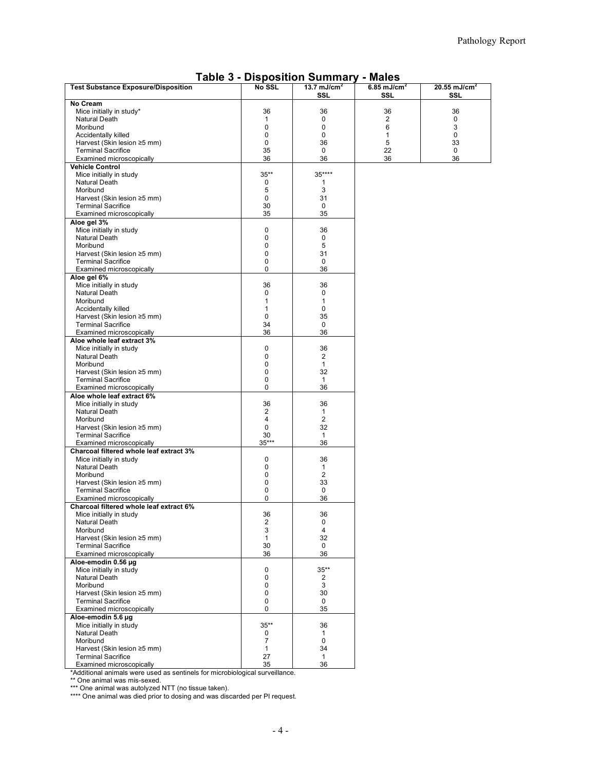| <b>Test Substance Exposure/Disposition</b>                          | No SSL            | 13.7 mJ/cm <sup>2</sup> | 6.85 mJ/cm $^2$ | 20.55 mJ/cm <sup>2</sup> |
|---------------------------------------------------------------------|-------------------|-------------------------|-----------------|--------------------------|
|                                                                     |                   | SSL                     | SSL             | SSL                      |
| No Cream<br>Mice initially in study*                                | 36                | 36                      | 36              | 36                       |
| Natural Death                                                       | 1                 | 0                       | $\overline{2}$  | 0                        |
| Moribund                                                            | 0                 | 0                       | 6               | 3                        |
| Accidentally killed                                                 | 0                 | 0                       | 1               | 0                        |
| Harvest (Skin lesion ≥5 mm)                                         | $\mathbf 0$       | 36                      | 5               | 33                       |
| <b>Terminal Sacrifice</b>                                           | 35                | 0                       | 22              | 0                        |
| Examined microscopically                                            | 36                | 36                      | 36              | 36                       |
| <b>Vehicle Control</b>                                              |                   |                         |                 |                          |
| Mice initially in study<br>Natural Death                            | $35**$<br>0       | 35****                  |                 |                          |
| Moribund                                                            | 5                 | 1<br>3                  |                 |                          |
| Harvest (Skin lesion ≥5 mm)                                         | 0                 | 31                      |                 |                          |
| <b>Terminal Sacrifice</b>                                           | 30                | 0                       |                 |                          |
| Examined microscopically                                            | 35                | 35                      |                 |                          |
| Aloe gel 3%                                                         |                   |                         |                 |                          |
| Mice initially in study                                             | $\mathbf 0$       | 36                      |                 |                          |
| Natural Death                                                       | 0                 | 0                       |                 |                          |
| Moribund<br>Harvest (Skin lesion ≥5 mm)                             | 0<br>0            | 5<br>31                 |                 |                          |
| <b>Terminal Sacrifice</b>                                           | 0                 | 0                       |                 |                          |
| Examined microscopically                                            | 0                 | 36                      |                 |                          |
| Aloe gel 6%                                                         |                   |                         |                 |                          |
| Mice initially in study                                             | 36                | 36                      |                 |                          |
| <b>Natural Death</b>                                                | 0                 | 0                       |                 |                          |
| Moribund                                                            | 1                 | 1                       |                 |                          |
| Accidentally killed<br>Harvest (Skin lesion ≥5 mm)                  | $\mathbf{1}$<br>0 | 0<br>35                 |                 |                          |
| <b>Terminal Sacrifice</b>                                           | 34                | 0                       |                 |                          |
| Examined microscopically                                            | 36                | 36                      |                 |                          |
| Aloe whole leaf extract 3%                                          |                   |                         |                 |                          |
| Mice initially in study                                             | 0                 | 36                      |                 |                          |
| Natural Death                                                       | 0                 | 2                       |                 |                          |
| Moribund                                                            | 0                 | $\mathbf{1}$            |                 |                          |
| Harvest (Skin lesion ≥5 mm)<br><b>Terminal Sacrifice</b>            | 0<br>0            | 32<br>$\mathbf{1}$      |                 |                          |
| Examined microscopically                                            | 0                 | 36                      |                 |                          |
| Aloe whole leaf extract 6%                                          |                   |                         |                 |                          |
| Mice initially in study                                             | 36                | 36                      |                 |                          |
| Natural Death                                                       | 2                 | $\mathbf{1}$            |                 |                          |
| Moribund                                                            | 4                 | $\overline{2}$          |                 |                          |
| Harvest (Skin lesion ≥5 mm)                                         | 0                 | 32                      |                 |                          |
| <b>Terminal Sacrifice</b><br>Examined microscopically               | 30<br>$35***$     | $\mathbf{1}$<br>36      |                 |                          |
| Charcoal filtered whole leaf extract 3%                             |                   |                         |                 |                          |
| Mice initially in study                                             | 0                 | 36                      |                 |                          |
| Natural Death                                                       | 0                 | 1                       |                 |                          |
| Moribund                                                            | 0                 | $\overline{c}$          |                 |                          |
| Harvest (Skin lesion ≥5 mm)                                         | 0                 | 33                      |                 |                          |
| <b>Terminal Sacrifice</b>                                           | 0<br>0            | 0<br>36                 |                 |                          |
| Examined microscopically<br>Charcoal filtered whole leaf extract 6% |                   |                         |                 |                          |
| Mice initially in study                                             | 36                | 36                      |                 |                          |
| Natural Death                                                       | $\overline{2}$    | 0                       |                 |                          |
| Moribund                                                            | 3                 | 4                       |                 |                          |
| Harvest (Skin lesion ≥5 mm)                                         | 1                 | 32                      |                 |                          |
| <b>Terminal Sacrifice</b>                                           | 30                | $\mathbf 0$             |                 |                          |
| Examined microscopically<br>Aloe-emodin 0.56 µg                     | 36                | 36                      |                 |                          |
| Mice initially in study                                             | 0                 | $35***$                 |                 |                          |
| Natural Death                                                       | 0                 | 2                       |                 |                          |
| Moribund                                                            | 0                 | 3                       |                 |                          |
| Harvest (Skin lesion ≥5 mm)                                         | 0                 | 30                      |                 |                          |
| <b>Terminal Sacrifice</b>                                           | 0                 | 0                       |                 |                          |
| Examined microscopically                                            | 0                 | 35                      |                 |                          |
| Aloe-emodin 5.6 µg                                                  |                   |                         |                 |                          |
| Mice initially in study<br>Natural Death                            | $35***$<br>0      | 36<br>$\mathbf{1}$      |                 |                          |
| Moribund                                                            | 7                 | 0                       |                 |                          |
| Harvest (Skin lesion ≥5 mm)                                         | 1                 | 34                      |                 |                          |
| <b>Terminal Sacrifice</b>                                           | 27                | $\mathbf{1}$            |                 |                          |
| Examined microscopically                                            | 35                | 36                      |                 |                          |

#### **Table 3 - Disposition Summary - Males**

\*Additional animals were used as sentinels for microbiological surveillance.

 $\tilde{\xi}$ 

\*\* One animal was mis-sexed. \*\*\* One animal was autolyzed NTT (no tissue taken).

\*\*\*\* One animal was died prior to dosing and was discarded per PI request.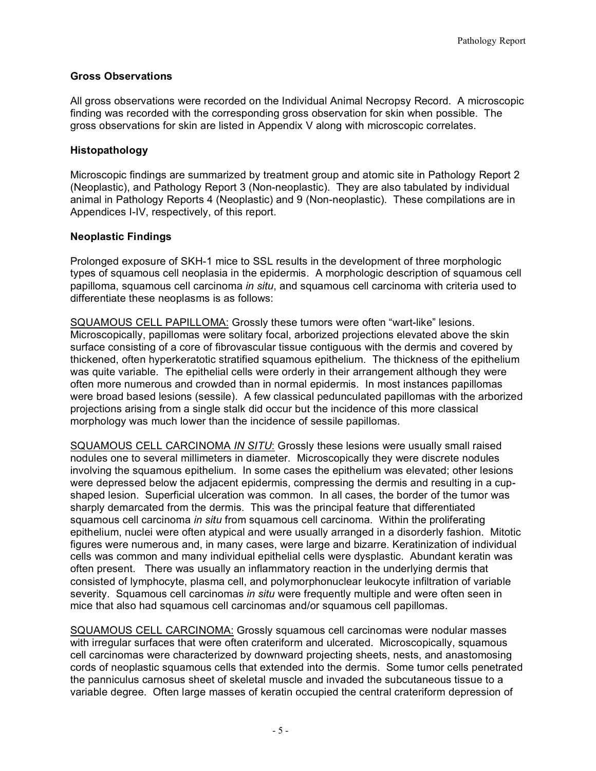## **Gross Observations**

 All gross observations were recorded on the Individual Animal Necropsy Record. A microscopic finding was recorded with the corresponding gross observation for skin when possible. The gross observations for skin are listed in Appendix V along with microscopic correlates.

## **Histopathology**

 Microscopic findings are summarized by treatment group and atomic site in Pathology Report 2 (Neoplastic), and Pathology Report 3 (Non-neoplastic). They are also tabulated by individual animal in Pathology Reports 4 (Neoplastic) and 9 (Non-neoplastic). These compilations are in Appendices I-IV, respectively, of this report.

## **Neoplastic Findings**

 Prolonged exposure of SKH-1 mice to SSL results in the development of three morphologic types of squamous cell neoplasia in the epidermis. A morphologic description of squamous cell papilloma, squamous cell carcinoma *in situ*, and squamous cell carcinoma with criteria used to differentiate these neoplasms is as follows:

 SQUAMOUS CELL PAPILLOMA: Grossly these tumors were often "wart-like" lesions. Microscopically, papillomas were solitary focal, arborized projections elevated above the skin surface consisting of a core of fibrovascular tissue contiguous with the dermis and covered by thickened, often hyperkeratotic stratified squamous epithelium. The thickness of the epithelium was quite variable. The epithelial cells were orderly in their arrangement although they were often more numerous and crowded than in normal epidermis. In most instances papillomas were broad based lesions (sessile). A few classical pedunculated papillomas with the arborized projections arising from a single stalk did occur but the incidence of this more classical morphology was much lower than the incidence of sessile papillomas.

 SQUAMOUS CELL CARCINOMA *IN SITU*: Grossly these lesions were usually small raised nodules one to several millimeters in diameter. Microscopically they were discrete nodules involving the squamous epithelium. In some cases the epithelium was elevated; other lesions shaped lesion. Superficial ulceration was common. In all cases, the border of the tumor was sharply demarcated from the dermis. This was the principal feature that differentiated squamous cell carcinoma *in situ* from squamous cell carcinoma. Within the proliferating epithelium, nuclei were often atypical and were usually arranged in a disorderly fashion. Mitotic figures were numerous and, in many cases, were large and bizarre. Keratinization of individual cells was common and many individual epithelial cells were dysplastic. Abundant keratin was often present. There was usually an inflammatory reaction in the underlying dermis that severity. Squamous cell carcinomas *in situ* were frequently multiple and were often seen in were depressed below the adjacent epidermis, compressing the dermis and resulting in a cupconsisted of lymphocyte, plasma cell, and polymorphonuclear leukocyte infiltration of variable mice that also had squamous cell carcinomas and/or squamous cell papillomas.

 SQUAMOUS CELL CARCINOMA: Grossly squamous cell carcinomas were nodular masses with irregular surfaces that were often crateriform and ulcerated. Microscopically, squamous cell carcinomas were characterized by downward projecting sheets, nests, and anastomosing cords of neoplastic squamous cells that extended into the dermis. Some tumor cells penetrated the panniculus carnosus sheet of skeletal muscle and invaded the subcutaneous tissue to a variable degree. Often large masses of keratin occupied the central crateriform depression of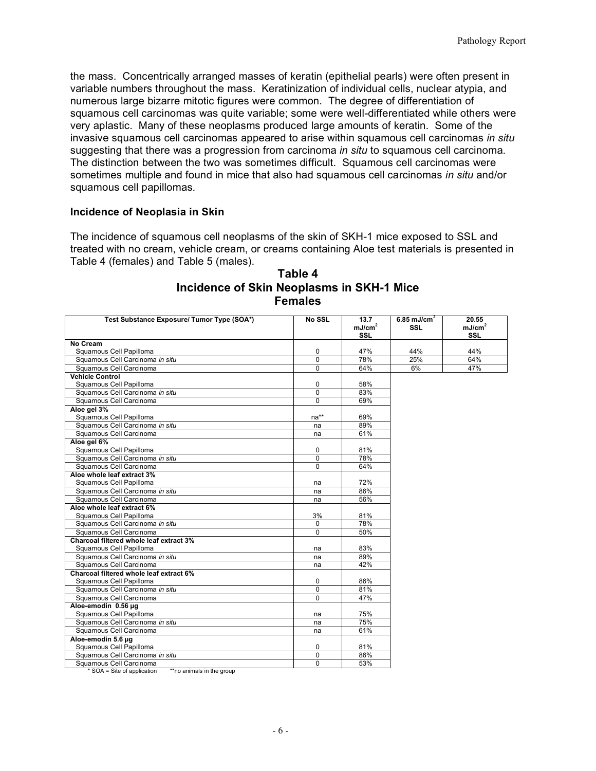the mass. Concentrically arranged masses of keratin (epithelial pearls) were often present in variable numbers throughout the mass. Keratinization of individual cells, nuclear atypia, and numerous large bizarre mitotic figures were common. The degree of differentiation of squamous cell carcinomas was quite variable; some were well-differentiated while others were very aplastic. Many of these neoplasms produced large amounts of keratin. Some of the suggesting that there was a progression from carcinoma *in situ* to squamous cell carcinoma*.*  The distinction between the two was sometimes difficult. Squamous cell carcinomas were invasive squamous cell carcinomas appeared to arise within squamous cell carcinomas *in situ*  sometimes multiple and found in mice that also had squamous cell carcinomas *in situ* and/or squamous cell papillomas*.* 

#### **Incidence of Neoplasia in Skin**

 The incidence of squamous cell neoplasms of the skin of SKH-1 mice exposed to SSL and treated with no cream, vehicle cream, or creams containing Aloe test materials is presented in Table 4 (females) and Table 5 (males).

| Test Substance Exposure/ Tumor Type (SOA*) | No SSL         | 13.7<br>mJ/cm <sup>2</sup><br><b>SSL</b> | 6.85 mJ/cm <sup>2</sup><br><b>SSL</b> | 20.55<br>mJ/cm <sup>2</sup><br><b>SSL</b> |
|--------------------------------------------|----------------|------------------------------------------|---------------------------------------|-------------------------------------------|
| No Cream                                   |                |                                          |                                       |                                           |
| Squamous Cell Papilloma                    | 0              | 47%                                      | 44%                                   | 44%                                       |
| Squamous Cell Carcinoma in situ            | $\overline{0}$ | 78%                                      | 25%                                   | 64%                                       |
| Squamous Cell Carcinoma                    | $\mathbf 0$    | 64%                                      | 6%                                    | 47%                                       |
| <b>Vehicle Control</b>                     |                |                                          |                                       |                                           |
| Squamous Cell Papilloma                    | 0              | 58%                                      |                                       |                                           |
| Squamous Cell Carcinoma in situ            | $\mathbf 0$    | 83%                                      |                                       |                                           |
| Squamous Cell Carcinoma                    | $\Omega$       | 69%                                      |                                       |                                           |
| Aloe gel 3%                                |                |                                          |                                       |                                           |
| Squamous Cell Papilloma                    | na**           | 69%                                      |                                       |                                           |
| Squamous Cell Carcinoma in situ            | na             | 89%                                      |                                       |                                           |
| Squamous Cell Carcinoma                    | na             | 61%                                      |                                       |                                           |
| Aloe gel 6%                                |                |                                          |                                       |                                           |
| Squamous Cell Papilloma                    | 0              | 81%                                      |                                       |                                           |
| Squamous Cell Carcinoma in situ            | $\Omega$       | 78%                                      |                                       |                                           |
| Squamous Cell Carcinoma                    | $\Omega$       | 64%                                      |                                       |                                           |
| Aloe whole leaf extract 3%                 |                |                                          |                                       |                                           |
| Squamous Cell Papilloma                    | na             | 72%                                      |                                       |                                           |
| Squamous Cell Carcinoma in situ            | na             | 86%                                      |                                       |                                           |
| Squamous Cell Carcinoma                    | na             | 56%                                      |                                       |                                           |
| Aloe whole leaf extract 6%                 |                |                                          |                                       |                                           |
| Squamous Cell Papilloma                    | 3%             | 81%                                      |                                       |                                           |
| Squamous Cell Carcinoma in situ            | $\mathbf{0}$   | 78%                                      |                                       |                                           |
| Squamous Cell Carcinoma                    | $\Omega$       | 50%                                      |                                       |                                           |
| Charcoal filtered whole leaf extract 3%    |                |                                          |                                       |                                           |
| Squamous Cell Papilloma                    | na             | 83%                                      |                                       |                                           |
| Squamous Cell Carcinoma in situ            | na             | 89%                                      |                                       |                                           |
| Squamous Cell Carcinoma                    | na             | 42%                                      |                                       |                                           |
| Charcoal filtered whole leaf extract 6%    |                |                                          |                                       |                                           |
| Squamous Cell Papilloma                    | 0              | 86%                                      |                                       |                                           |
| Squamous Cell Carcinoma in situ            | $\Omega$       | 81%                                      |                                       |                                           |
| Squamous Cell Carcinoma                    | $\mathbf 0$    | 47%                                      |                                       |                                           |
| Aloe-emodin 0.56 µg                        |                |                                          |                                       |                                           |
| Squamous Cell Papilloma                    | na             | 75%                                      |                                       |                                           |
| Squamous Cell Carcinoma in situ            | na             | 75%                                      |                                       |                                           |
| Squamous Cell Carcinoma                    | na             | 61%                                      |                                       |                                           |
| Aloe-emodin 5.6 µg                         |                |                                          |                                       |                                           |
| Squamous Cell Papilloma                    | 0              | 81%                                      |                                       |                                           |
| Squamous Cell Carcinoma in situ            | $\Omega$       | 86%                                      |                                       |                                           |
| Squamous Cell Carcinoma                    | $\Omega$       | 53%                                      |                                       |                                           |

## **Incidence of Skin Neoplasms in SKH-1 Mice Table 4 Females**

\* SOA = Site of application \*\*no animals in the group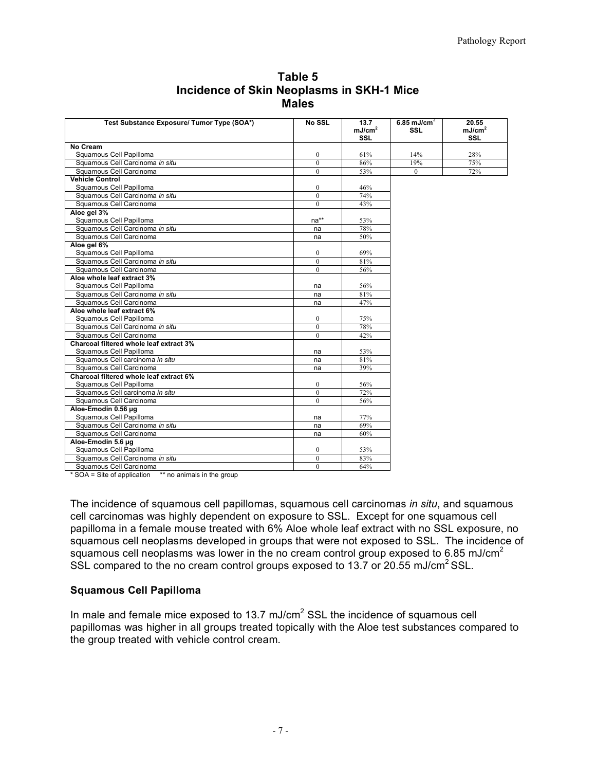| Test Substance Exposure/ Tumor Type (SOA*) | No SSL           | 13.7<br>mJ/cm <sup>2</sup><br><b>SSL</b> | 6.85 mJ/cm <sup>2</sup><br><b>SSL</b> | 20.55<br>mJ/cm <sup>2</sup><br><b>SSL</b> |
|--------------------------------------------|------------------|------------------------------------------|---------------------------------------|-------------------------------------------|
| No Cream                                   |                  |                                          |                                       |                                           |
| Squamous Cell Papilloma                    | $\mathbf{0}$     | 61%                                      | 14%                                   | 28%                                       |
| Squamous Cell Carcinoma in situ            | $\mathbf{0}$     | 86%                                      | 19%                                   | 75%                                       |
| Squamous Cell Carcinoma                    | $\mathbf{0}$     | 53%                                      | $\theta$                              | 72%                                       |
| <b>Vehicle Control</b>                     |                  |                                          |                                       |                                           |
| Squamous Cell Papilloma                    | $\mathbf{0}$     | 46%                                      |                                       |                                           |
| Squamous Cell Carcinoma in situ            | $\theta$         | 74%                                      |                                       |                                           |
| Squamous Cell Carcinoma                    | $\Omega$         | 43%                                      |                                       |                                           |
| Aloe gel 3%                                |                  |                                          |                                       |                                           |
| Squamous Cell Papilloma                    | $na**$           | 53%                                      |                                       |                                           |
| Squamous Cell Carcinoma in situ            | na               | 78%                                      |                                       |                                           |
| Squamous Cell Carcinoma                    | na               | 50%                                      |                                       |                                           |
| Aloe gel 6%                                |                  |                                          |                                       |                                           |
| Squamous Cell Papilloma                    | $\bf{0}$         | 69%                                      |                                       |                                           |
| Squamous Cell Carcinoma in situ            | $\mathbf{0}$     | 81%                                      |                                       |                                           |
| Squamous Cell Carcinoma                    | $\Omega$         | 56%                                      |                                       |                                           |
| Aloe whole leaf extract 3%                 |                  |                                          |                                       |                                           |
| Squamous Cell Papilloma                    | na               | 56%                                      |                                       |                                           |
| Squamous Cell Carcinoma in situ            | na               | 81%                                      |                                       |                                           |
| Squamous Cell Carcinoma                    | na               | 47%                                      |                                       |                                           |
| Aloe whole leaf extract 6%                 |                  |                                          |                                       |                                           |
| Squamous Cell Papilloma                    | $\mathbf{0}$     | 75%                                      |                                       |                                           |
| Squamous Cell Carcinoma in situ            | $\theta$         | 78%                                      |                                       |                                           |
| Squamous Cell Carcinoma                    | $\overline{0}$   | 42%                                      |                                       |                                           |
| Charcoal filtered whole leaf extract 3%    |                  |                                          |                                       |                                           |
| Squamous Cell Papilloma                    | na               | 53%                                      |                                       |                                           |
| Squamous Cell carcinoma in situ            | na               | 81%                                      |                                       |                                           |
| Squamous Cell Carcinoma                    | na               | 39%                                      |                                       |                                           |
| Charcoal filtered whole leaf extract 6%    |                  |                                          |                                       |                                           |
| Squamous Cell Papilloma                    | $\boldsymbol{0}$ | 56%                                      |                                       |                                           |
| Squamous Cell carcinoma in situ            | $\overline{0}$   | 72%                                      |                                       |                                           |
| Squamous Cell Carcinoma                    | $\theta$         | 56%                                      |                                       |                                           |
| Aloe-Emodin 0.56 µg                        |                  |                                          |                                       |                                           |
| Squamous Cell Papilloma                    | na               | 77%                                      |                                       |                                           |
| Squamous Cell Carcinoma in situ            | na               | 69%                                      |                                       |                                           |
| Squamous Cell Carcinoma                    | na               | 60%                                      |                                       |                                           |
| Aloe-Emodin 5.6 µg                         |                  |                                          |                                       |                                           |
| Squamous Cell Papilloma                    | $\boldsymbol{0}$ | 53%                                      |                                       |                                           |
| Squamous Cell Carcinoma in situ            | $\mathbf{0}$     | 83%                                      |                                       |                                           |
| Squamous Cell Carcinoma                    | $\theta$         | 64%                                      |                                       |                                           |

 **Incidence of Skin Neoplasms in SKH-1 Mice Table 5 Males**

\* SOA = Site of application \*\* no animals in the group

 The incidence of squamous cell papillomas, squamous cell carcinomas *in situ*, and squamous cell carcinomas was highly dependent on exposure to SSL. Except for one squamous cell papilloma in a female mouse treated with 6% Aloe whole leaf extract with no SSL exposure, no squamous cell neoplasms developed in groups that were not exposed to SSL. The incidence of squamous cell neoplasms was lower in the no cream control group exposed to 6.85 mJ/cm<sup>2</sup> SSL compared to the no cream control groups exposed to 13.7 or 20.55 mJ/cm<sup>2</sup> SSL.

#### **Squamous Cell Papilloma**

In male and female mice exposed to 13.7 mJ/cm<sup>2</sup> SSL the incidence of squamous cell papillomas was higher in all groups treated topically with the Aloe test substances compared to the group treated with vehicle control cream.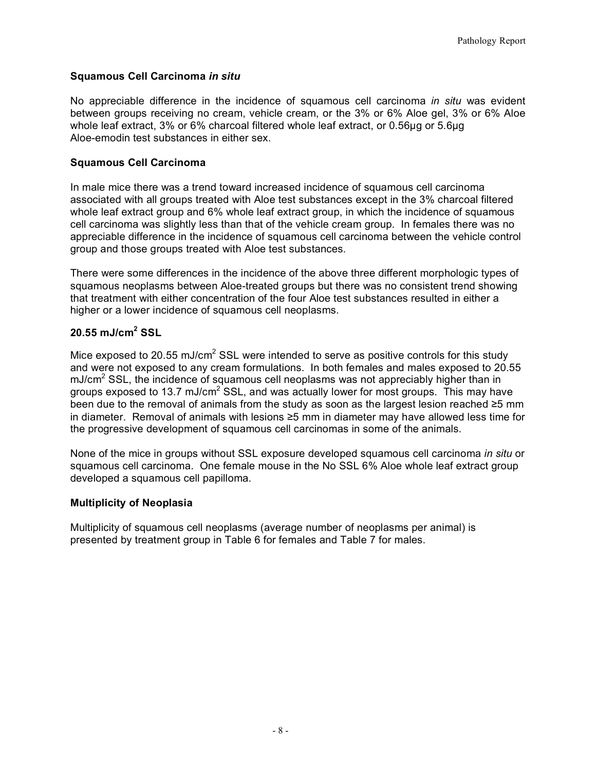## **Squamous Cell Carcinoma** *in situ*

 No appreciable difference in the incidence of squamous cell carcinoma *in situ* was evident whole leaf extract, 3% or 6% charcoal filtered whole leaf extract, or 0.56µg or 5.6µg Aloe-emodin test substances in either sex. between groups receiving no cream, vehicle cream, or the 3% or 6% Aloe gel, 3% or 6% Aloe

#### **Squamous Cell Carcinoma**

 associated with all groups treated with Aloe test substances except in the 3% charcoal filtered whole leaf extract group and 6% whole leaf extract group, in which the incidence of squamous cell carcinoma was slightly less than that of the vehicle cream group. In females there was no appreciable difference in the incidence of squamous cell carcinoma between the vehicle control In male mice there was a trend toward increased incidence of squamous cell carcinoma group and those groups treated with Aloe test substances.

 There were some differences in the incidence of the above three different morphologic types of squamous neoplasms between Aloe-treated groups but there was no consistent trend showing that treatment with either concentration of the four Aloe test substances resulted in either a higher or a lower incidence of squamous cell neoplasms.

## **20.55 mJ/cm2 SSL**

Mice exposed to 20.55 mJ/cm<sup>2</sup> SSL were intended to serve as positive controls for this study and were not exposed to any cream formulations. In both females and males exposed to 20.55  $mJ/cm<sup>2</sup>$  SSL, the incidence of squamous cell neoplasms was not appreciably higher than in groups exposed to 13.7 mJ/cm<sup>2</sup> SSL, and was actually lower for most groups. This may have been due to the removal of animals from the study as soon as the largest lesion reached ≥5 mm in diameter. Removal of animals with lesions ≥5 mm in diameter may have allowed less time for the progressive development of squamous cell carcinomas in some of the animals.

 None of the mice in groups without SSL exposure developed squamous cell carcinoma *in situ* or squamous cell carcinoma. One female mouse in the No SSL 6% Aloe whole leaf extract group developed a squamous cell papilloma.

#### **Multiplicity of Neoplasia**

 Multiplicity of squamous cell neoplasms (average number of neoplasms per animal) is presented by treatment group in Table 6 for females and Table 7 for males.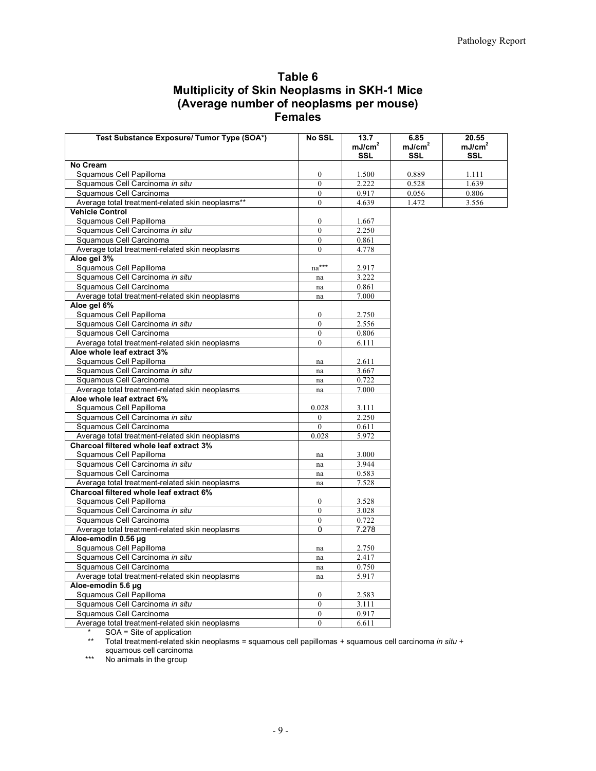| Table 6                                             |
|-----------------------------------------------------|
| <b>Multiplicity of Skin Neoplasms in SKH-1 Mice</b> |
| (Average number of neoplasms per mouse)             |
| <b>Females</b>                                      |

| Test Substance Exposure/ Tumor Type (SOA*)                 | <b>No SSL</b>                        | 13.7<br>mJ/cm <sup>2</sup><br>SSL | 6.85<br>mJ/cm <sup>2</sup><br>SSL | 20.55<br>mJ/cm <sup>2</sup><br>SSL |
|------------------------------------------------------------|--------------------------------------|-----------------------------------|-----------------------------------|------------------------------------|
| <b>No Cream</b>                                            |                                      |                                   |                                   |                                    |
| Squamous Cell Papilloma                                    | $\boldsymbol{0}$                     | 1.500                             | 0.889                             | 1.111                              |
| Squamous Cell Carcinoma in situ                            | $\theta$                             | 2.222                             | 0.528                             | 1.639                              |
| Squamous Cell Carcinoma                                    | $\mathbf{0}$                         | 0.917                             | 0.056                             | 0.806                              |
| Average total treatment-related skin neoplasms**           | $\mathbf{0}$                         | 4.639                             | 1.472                             | 3.556                              |
| <b>Vehicle Control</b>                                     |                                      |                                   |                                   |                                    |
| Squamous Cell Papilloma                                    | $\boldsymbol{0}$                     | 1.667                             |                                   |                                    |
| Squamous Cell Carcinoma in situ                            | $\overline{0}$                       | 2.250                             |                                   |                                    |
| Squamous Cell Carcinoma                                    | $\mathbf{0}$                         | 0.861                             |                                   |                                    |
| Average total treatment-related skin neoplasms             | $\mathbf{0}$                         | 4.778                             |                                   |                                    |
| Aloe gel 3%                                                |                                      |                                   |                                   |                                    |
| Squamous Cell Papilloma                                    | na***                                | 2.917                             |                                   |                                    |
| Squamous Cell Carcinoma in situ                            | na                                   | 3.222                             |                                   |                                    |
| Squamous Cell Carcinoma                                    |                                      | 0.861                             |                                   |                                    |
| Average total treatment-related skin neoplasms             | na                                   | 7.000                             |                                   |                                    |
|                                                            | na                                   |                                   |                                   |                                    |
| Aloe gel 6%                                                |                                      |                                   |                                   |                                    |
| Squamous Cell Papilloma                                    | $\boldsymbol{0}$<br>$\boldsymbol{0}$ | 2.750                             |                                   |                                    |
| Squamous Cell Carcinoma in situ<br>Squamous Cell Carcinoma |                                      | 2.556                             |                                   |                                    |
|                                                            | $\boldsymbol{0}$                     | 0.806                             |                                   |                                    |
| Average total treatment-related skin neoplasms             | $\mathbf{0}$                         | 6.111                             |                                   |                                    |
| Aloe whole leaf extract 3%                                 |                                      |                                   |                                   |                                    |
| Squamous Cell Papilloma                                    | na                                   | 2.611                             |                                   |                                    |
| Squamous Cell Carcinoma in situ                            | na                                   | 3.667                             |                                   |                                    |
| Squamous Cell Carcinoma                                    | na                                   | 0.722                             |                                   |                                    |
| Average total treatment-related skin neoplasms             | na                                   | 7.000                             |                                   |                                    |
| Aloe whole leaf extract 6%                                 |                                      |                                   |                                   |                                    |
| Squamous Cell Papilloma                                    | 0.028                                | 3.111                             |                                   |                                    |
| Squamous Cell Carcinoma in situ                            | $\boldsymbol{0}$                     | 2.250                             |                                   |                                    |
| Squamous Cell Carcinoma                                    | $\boldsymbol{0}$                     | 0.611                             |                                   |                                    |
| Average total treatment-related skin neoplasms             | 0.028                                | 5.972                             |                                   |                                    |
| Charcoal filtered whole leaf extract 3%                    |                                      |                                   |                                   |                                    |
| Squamous Cell Papilloma                                    | na                                   | 3.000                             |                                   |                                    |
| Squamous Cell Carcinoma in situ                            | na                                   | 3.944                             |                                   |                                    |
| Squamous Cell Carcinoma                                    | na                                   | 0.583                             |                                   |                                    |
| Average total treatment-related skin neoplasms             | na                                   | 7.528                             |                                   |                                    |
| Charcoal filtered whole leaf extract 6%                    |                                      |                                   |                                   |                                    |
| Squamous Cell Papilloma                                    | $\overline{0}$                       | 3.528                             |                                   |                                    |
| Squamous Cell Carcinoma in situ                            | $\boldsymbol{0}$                     | 3.028                             |                                   |                                    |
| Squamous Cell Carcinoma                                    | $\boldsymbol{0}$                     | 0.722                             |                                   |                                    |
| Average total treatment-related skin neoplasms             | 0                                    | 7.278                             |                                   |                                    |
| Aloe-emodin 0.56 µg                                        |                                      |                                   |                                   |                                    |
| Squamous Cell Papilloma                                    | na                                   | 2.750                             |                                   |                                    |
| Squamous Cell Carcinoma in situ                            | na                                   | 2.417                             |                                   |                                    |
| Squamous Cell Carcinoma                                    | na                                   | 0.750                             |                                   |                                    |
| Average total treatment-related skin neoplasms             | na                                   | 5.917                             |                                   |                                    |
| Aloe-emodin 5.6 µg                                         |                                      |                                   |                                   |                                    |
| Squamous Cell Papilloma                                    | $\overline{0}$                       | 2.583                             |                                   |                                    |
| Squamous Cell Carcinoma in situ                            | $\overline{0}$                       | 3.111                             |                                   |                                    |
| Squamous Cell Carcinoma                                    | $\boldsymbol{0}$                     | 0.917                             |                                   |                                    |
| Average total treatment-related skin neoplasms             | $\boldsymbol{0}$                     | 6.611                             |                                   |                                    |

\* SOA = Site of application

 squamous cell carcinoma \*\* Total treatment-related skin neoplasms = squamous cell papillomas + squamous cell carcinoma *in situ* +

\*\*\* No animals in the group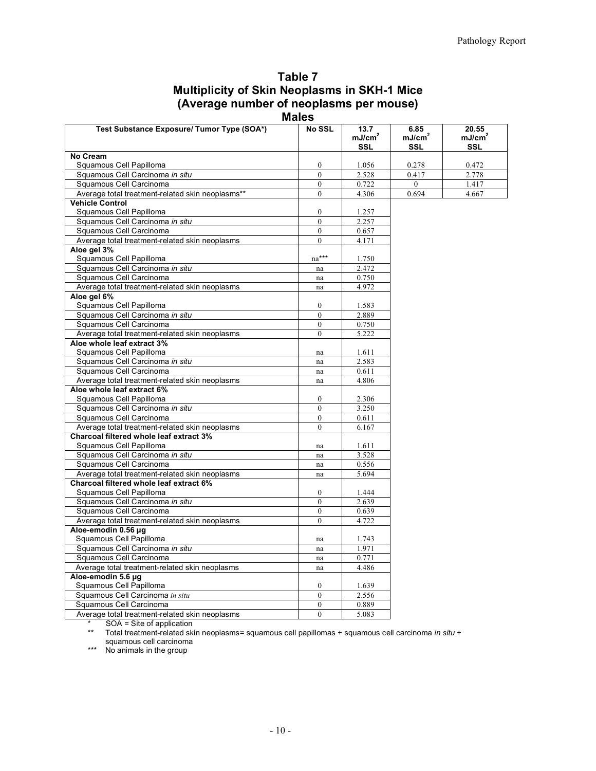| Table 7                                             |
|-----------------------------------------------------|
| <b>Multiplicity of Skin Neoplasms in SKH-1 Mice</b> |
| (Average number of neoplasms per mouse)             |

 **Males**

| Test Substance Exposure/ Tumor Type (SOA*)       | <b>No SSL</b>       | 13.7<br>mJ/cm <sup>2</sup><br><b>SSL</b> | 6.85<br>mJ/cm <sup>2</sup><br><b>SSL</b> | 20.55<br>mJ/cm <sup>2</sup><br><b>SSL</b> |
|--------------------------------------------------|---------------------|------------------------------------------|------------------------------------------|-------------------------------------------|
| No Cream                                         |                     |                                          |                                          |                                           |
| Squamous Cell Papilloma                          | $\mathbf{0}$        | 1.056                                    | 0.278                                    | 0.472                                     |
| Squamous Cell Carcinoma in situ                  | $\mathbf{0}$        | 2.528                                    | 0.417                                    | 2.778                                     |
| Squamous Cell Carcinoma                          | $\theta$            | 0.722                                    | $\mathbf{0}$                             | 1.417                                     |
| Average total treatment-related skin neoplasms** | $\mathbf{0}$        | 4.306                                    | 0.694                                    | 4.667                                     |
| <b>Vehicle Control</b>                           |                     |                                          |                                          |                                           |
| Squamous Cell Papilloma                          | $\boldsymbol{0}$    | 1.257                                    |                                          |                                           |
| Squamous Cell Carcinoma in situ                  | $\mathbf{0}$        | 2.257                                    |                                          |                                           |
| Squamous Cell Carcinoma                          | $\mathbf{0}$        | 0.657                                    |                                          |                                           |
| Average total treatment-related skin neoplasms   | $\theta$            | 4.171                                    |                                          |                                           |
| Aloe gel 3%                                      |                     |                                          |                                          |                                           |
| Squamous Cell Papilloma                          | na***               | 1.750                                    |                                          |                                           |
| Squamous Cell Carcinoma in situ                  | na                  | 2.472                                    |                                          |                                           |
| Squamous Cell Carcinoma                          | na                  | 0.750                                    |                                          |                                           |
| Average total treatment-related skin neoplasms   | na                  | 4.972                                    |                                          |                                           |
| Aloe gel 6%                                      |                     |                                          |                                          |                                           |
| Squamous Cell Papilloma                          | $\overline{0}$      | 1.583                                    |                                          |                                           |
| Squamous Cell Carcinoma in situ                  | $\theta$            | 2.889                                    |                                          |                                           |
| Squamous Cell Carcinoma                          | $\mathbf{0}$        | 0.750                                    |                                          |                                           |
| Average total treatment-related skin neoplasms   | $\Omega$            | 5.222                                    |                                          |                                           |
| Aloe whole leaf extract 3%                       |                     |                                          |                                          |                                           |
| Squamous Cell Papilloma                          | na                  | 1.611                                    |                                          |                                           |
| Squamous Cell Carcinoma in situ                  | $\operatorname{na}$ | 2.583                                    |                                          |                                           |
| Squamous Cell Carcinoma                          | na                  | 0.611                                    |                                          |                                           |
| Average total treatment-related skin neoplasms   | na                  | 4.806                                    |                                          |                                           |
| Aloe whole leaf extract 6%                       |                     |                                          |                                          |                                           |
| Squamous Cell Papilloma                          | $\boldsymbol{0}$    | 2.306                                    |                                          |                                           |
| Squamous Cell Carcinoma in situ                  | $\mathbf{0}$        | 3.250                                    |                                          |                                           |
| Squamous Cell Carcinoma                          | $\mathbf{0}$        | 0.611                                    |                                          |                                           |
| Average total treatment-related skin neoplasms   | $\theta$            | 6.167                                    |                                          |                                           |
| Charcoal filtered whole leaf extract 3%          |                     |                                          |                                          |                                           |
| Squamous Cell Papilloma                          | na                  | 1.611                                    |                                          |                                           |
| Squamous Cell Carcinoma in situ                  | na                  | 3.528                                    |                                          |                                           |
| Squamous Cell Carcinoma                          | $\operatorname{na}$ | 0.556                                    |                                          |                                           |
| Average total treatment-related skin neoplasms   | na                  | 5.694                                    |                                          |                                           |
| Charcoal filtered whole leaf extract 6%          |                     |                                          |                                          |                                           |
| Squamous Cell Papilloma                          | $\overline{0}$      | 1.444                                    |                                          |                                           |
| Squamous Cell Carcinoma in situ                  | $\theta$            | 2.639                                    |                                          |                                           |
| Squamous Cell Carcinoma                          | $\mathbf{0}$        | 0.639                                    |                                          |                                           |
| Average total treatment-related skin neoplasms   | $\theta$            | 4.722                                    |                                          |                                           |
| Aloe-emodin 0.56 µg                              |                     |                                          |                                          |                                           |
| Squamous Cell Papilloma                          | na                  | 1.743                                    |                                          |                                           |
| Squamous Cell Carcinoma in situ                  | na                  | 1.971                                    |                                          |                                           |
| Squamous Cell Carcinoma                          | na                  | 0.771                                    |                                          |                                           |
| Average total treatment-related skin neoplasms   | na                  | 4.486                                    |                                          |                                           |
| Aloe-emodin 5.6 µg                               |                     |                                          |                                          |                                           |
| Squamous Cell Papilloma                          | $\mathbf{0}$        | 1.639                                    |                                          |                                           |
| Squamous Cell Carcinoma in situ                  | $\theta$            | 2.556                                    |                                          |                                           |
| Squamous Cell Carcinoma                          | $\theta$            | 0.889                                    |                                          |                                           |
| Average total treatment-related skin neoplasms   | $\theta$            | 5.083                                    |                                          |                                           |

\* SOA = Site of application

\*\* Total treatment-related skin neoplasms= squamous cell papillomas + squamous cell carcinoma *in situ* + squamous cell carcinoma

 \*\*\* No animals in the group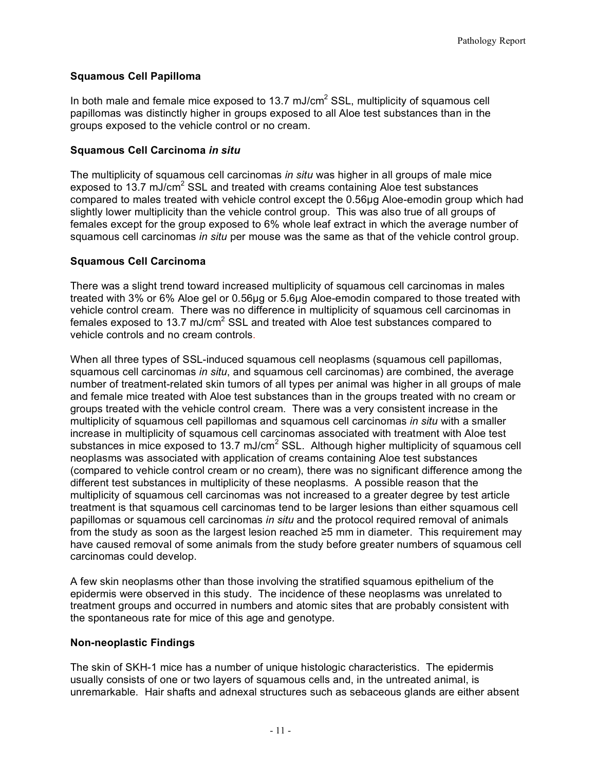## **Squamous Cell Papilloma**

In both male and female mice exposed to 13.7 mJ/cm<sup>2</sup> SSL, multiplicity of squamous cell papillomas was distinctly higher in groups exposed to all Aloe test substances than in the groups exposed to the vehicle control or no cream.

### **Squamous Cell Carcinoma** *in situ*

 The multiplicity of squamous cell carcinomas *in situ* was higher in all groups of male mice exposed to 13.7 mJ/cm<sup>2</sup> SSL and treated with creams containing Aloe test substances compared to males treated with vehicle control except the 0.56µg Aloe-emodin group which had slightly lower multiplicity than the vehicle control group. This was also true of all groups of females except for the group exposed to 6% whole leaf extract in which the average number of squamous cell carcinomas *in situ* per mouse was the same as that of the vehicle control group.

#### **Squamous Cell Carcinoma**

 There was a slight trend toward increased multiplicity of squamous cell carcinomas in males vehicle control cream. There was no difference in multiplicity of squamous cell carcinomas in vehicle controls and no cream controls. treated with 3% or 6% Aloe gel or 0.56µg or 5.6µg Aloe-emodin compared to those treated with females exposed to 13.7 mJ/cm<sup>2</sup> SSL and treated with Aloe test substances compared to

vehicle controls and no cream controls.<br>When all three types of SSL-induced squamous cell neoplasms (squamous cell papillomas, number of treatment-related skin tumors of all types per animal was higher in all groups of male groups treated with the vehicle control cream. There was a very consistent increase in the multiplicity of squamous cell papillomas and squamous cell carcinomas *in situ* with a smaller increase in multiplicity of squamous cell carcinomas associated with treatment with Aloe test substances in mice exposed to 13.7 mJ/cm<sup>2</sup> SSL. Although higher multiplicity of squamous cell neoplasms was associated with application of creams containing Aloe test substances (compared to vehicle control cream or no cream), there was no significant difference among the different test substances in multiplicity of these neoplasms. A possible reason that the multiplicity of squamous cell carcinomas was not increased to a greater degree by test article treatment is that squamous cell carcinomas tend to be larger lesions than either squamous cell papillomas or squamous cell carcinomas *in situ* and the protocol required removal of animals from the study as soon as the largest lesion reached ≥5 mm in diameter. This requirement may have caused removal of some animals from the study before greater numbers of squamous cell squamous cell carcinomas *in situ*, and squamous cell carcinomas) are combined, the average and female mice treated with Aloe test substances than in the groups treated with no cream or carcinomas could develop.

 A few skin neoplasms other than those involving the stratified squamous epithelium of the epidermis were observed in this study. The incidence of these neoplasms was unrelated to treatment groups and occurred in numbers and atomic sites that are probably consistent with the spontaneous rate for mice of this age and genotype.

## **Non-neoplastic Findings**

 The skin of SKH-1 mice has a number of unique histologic characteristics. The epidermis usually consists of one or two layers of squamous cells and, in the untreated animal, is unremarkable. Hair shafts and adnexal structures such as sebaceous glands are either absent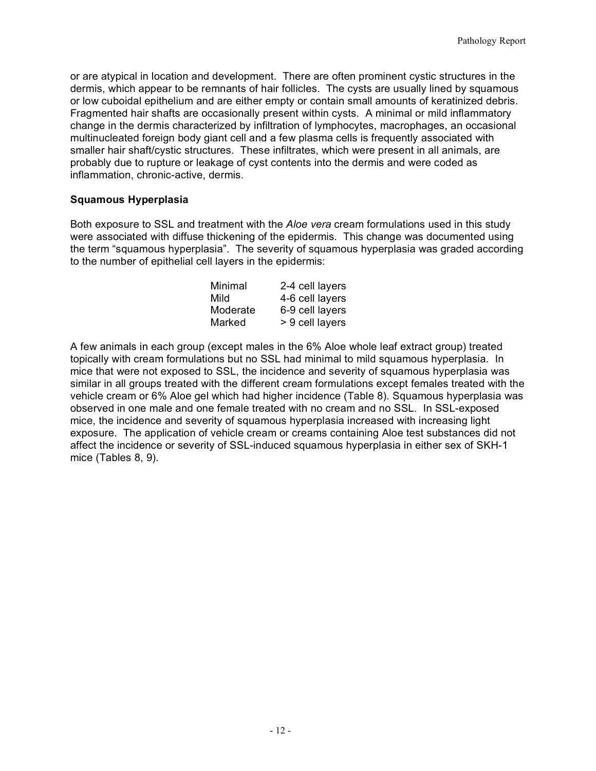or are atypical in location and development. There are often prominent cystic structures in the dermis, which appear to be remnants of hair follicles. The cysts are usually lined by squamous or low cuboidal epithelium and are either empty or contain small amounts of keratinized debris. Fragmented hair shafts are occasionally present within cysts. A minimal or mild inflammatory multinucleated foreign body giant cell and a few plasma cells is frequently associated with smaller hair shaft/cystic structures. These infiltrates, which were present in all animals, are probably due to rupture or leakage of cyst contents into the dermis and were coded as inflammation, chronic-active, dermis. change in the dermis characterized by infiltration of lymphocytes, macrophages, an occasional

#### **Squamous Hyperplasia**

 Both exposure to SSL and treatment with the *Aloe vera* cream formulations used in this study were associated with diffuse thickening of the epidermis. This change was documented using the term "squamous hyperplasia". The severity of squamous hyperplasia was graded according to the number of epithelial cell layers in the epidermis:

| Minimal  | 2-4 cell layers |
|----------|-----------------|
| Mild     | 4-6 cell layers |
| Moderate | 6-9 cell layers |
| Marked   | > 9 cell layers |

 A few animals in each group (except males in the 6% Aloe whole leaf extract group) treated topically with cream formulations but no SSL had minimal to mild squamous hyperplasia. In mice that were not exposed to SSL, the incidence and severity of squamous hyperplasia was similar in all groups treated with the different cream formulations except females treated with the vehicle cream or 6% Aloe gel which had higher incidence (Table 8). Squamous hyperplasia was observed in one male and one female treated with no cream and no SSL. In SSL-exposed mice, the incidence and severity of squamous hyperplasia increased with increasing light exposure. The application of vehicle cream or creams containing Aloe test substances did not affect the incidence or severity of SSL-induced squamous hyperplasia in either sex of SKH-1 mice (Tables 8, 9).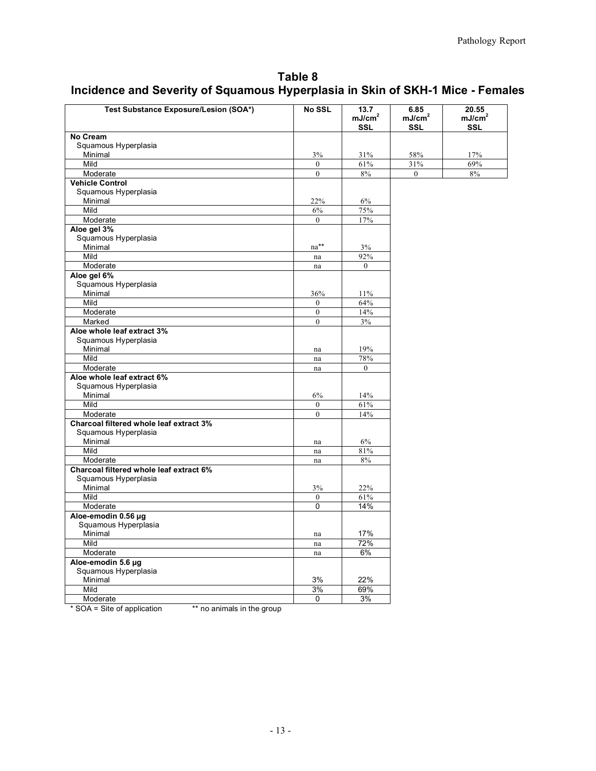# **Incidence and Severity of Squamous Hyperplasia in Skin of SKH-1 Mice - Females Table 8**

| Test Substance Exposure/Lesion (SOA*)   | <b>No SSL</b>    | 13.7<br>mJ/cm <sup>2</sup> | 6.85<br>mJ/cm <sup>2</sup> | 20.55<br>mJ/cm <sup>2</sup> |
|-----------------------------------------|------------------|----------------------------|----------------------------|-----------------------------|
|                                         |                  | <b>SSL</b>                 | <b>SSL</b>                 | <b>SSL</b>                  |
| No Cream                                |                  |                            |                            |                             |
| Squamous Hyperplasia<br>Minimal         | 3%               | 31%                        | 58%                        | 17%                         |
| Mild                                    | $\theta$         | 61%                        | 31%                        | 69%                         |
|                                         | $\mathbf{0}$     | 8%                         | $\mathbf{0}$               | 8%                          |
| Moderate<br><b>Vehicle Control</b>      |                  |                            |                            |                             |
| Squamous Hyperplasia                    |                  |                            |                            |                             |
| Minimal                                 | 22%              | 6%                         |                            |                             |
| Mild                                    | 6%               | 75%                        |                            |                             |
| Moderate                                | $\mathbf{0}$     | 17%                        |                            |                             |
| Aloe gel 3%                             |                  |                            |                            |                             |
| Squamous Hyperplasia                    |                  |                            |                            |                             |
| Minimal                                 | na**             | 3%                         |                            |                             |
| Mild                                    | na               | 92%                        |                            |                             |
| Moderate                                |                  | $\theta$                   |                            |                             |
| Aloe gel 6%                             | na               |                            |                            |                             |
| Squamous Hyperplasia                    |                  |                            |                            |                             |
| Minimal                                 | 36%              | 11%                        |                            |                             |
| Mild                                    | $\mathbf{0}$     | 64%                        |                            |                             |
| Moderate                                | $\boldsymbol{0}$ | 14%                        |                            |                             |
| Marked                                  | $\mathbf{0}$     |                            |                            |                             |
| Aloe whole leaf extract 3%              |                  | 3%                         |                            |                             |
| Squamous Hyperplasia                    |                  |                            |                            |                             |
| Minimal                                 |                  | 19%                        |                            |                             |
| Mild                                    | na               | 78%                        |                            |                             |
|                                         | na               | $\mathbf{0}$               |                            |                             |
| Moderate<br>Aloe whole leaf extract 6%  | na               |                            |                            |                             |
| Squamous Hyperplasia                    |                  |                            |                            |                             |
| Minimal                                 | 6%               | 14%                        |                            |                             |
| Mild                                    | $\theta$         | $61\%$                     |                            |                             |
| Moderate                                | $\boldsymbol{0}$ | 14%                        |                            |                             |
| Charcoal filtered whole leaf extract 3% |                  |                            |                            |                             |
| Squamous Hyperplasia                    |                  |                            |                            |                             |
| Minimal                                 | na               | 6%                         |                            |                             |
| Mild                                    | na               | 81%                        |                            |                             |
| Moderate                                | na               | $8\%$                      |                            |                             |
| Charcoal filtered whole leaf extract 6% |                  |                            |                            |                             |
| Squamous Hyperplasia                    |                  |                            |                            |                             |
| Minimal                                 | 3%               | 22%                        |                            |                             |
| Mild                                    | $\theta$         | 61%                        |                            |                             |
| Moderate                                | 0                | 14%                        |                            |                             |
| Aloe-emodin 0.56 µg                     |                  |                            |                            |                             |
| Squamous Hyperplasia                    |                  |                            |                            |                             |
| Minimal                                 | na               | 17%                        |                            |                             |
| Mild                                    | na               | 72%                        |                            |                             |
| Moderate                                | na               | 6%                         |                            |                             |
| Aloe-emodin 5.6 µg                      |                  |                            |                            |                             |
| Squamous Hyperplasia                    |                  |                            |                            |                             |
| Minimal                                 | 3%               | 22%                        |                            |                             |
| Mild                                    | 3%               | 69%                        |                            |                             |
| Moderate                                | 0                | 3%                         |                            |                             |
|                                         |                  |                            |                            |                             |

\*\* no animals in the group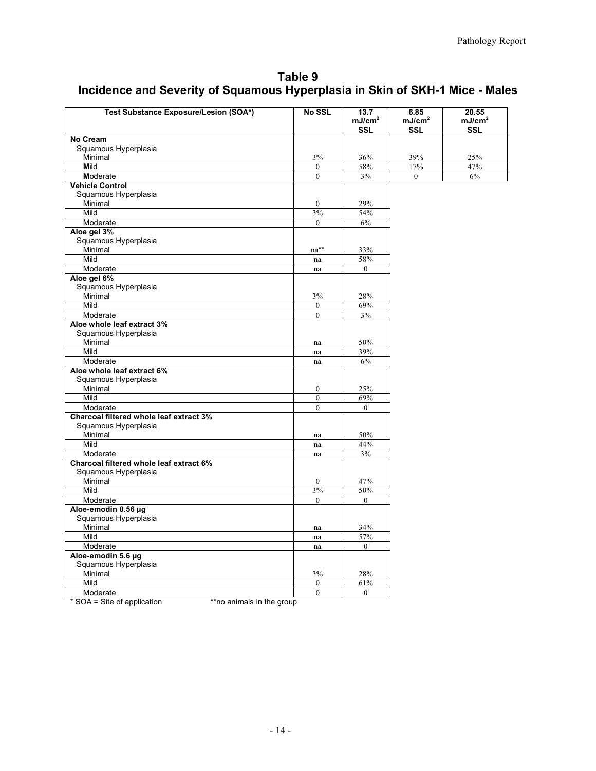# **Incidence and Severity of Squamous Hyperplasia in Skin of SKH-1 Mice - Males Table 9**

| No Cream<br>Squamous Hyperplasia<br>39%<br>Minimal<br>3%<br>36%<br>25%<br>Mild<br>58%<br>$17\%$<br>47%<br>$\theta$<br>$\overline{0}$<br>3%<br>$6\%$<br>Moderate<br>$\mathbf{0}$<br><b>Vehicle Control</b><br>Squamous Hyperplasia<br>Minimal<br>29%<br>$\mathbf{0}$<br>Mild<br>3%<br>54%<br>Moderate<br>$\theta$<br>$6\%$<br>Aloe gel 3%<br>Squamous Hyperplasia<br>Minimal<br>na**<br>33%<br>Mild<br>58%<br>na<br>Moderate<br>$\theta$<br>$\operatorname{na}$<br>Aloe gel 6%<br>Squamous Hyperplasia<br>Minimal<br>3%<br>28%<br>Mild<br>$\theta$<br>69%<br>Moderate<br>$\mathbf{0}$<br>3%<br>Aloe whole leaf extract 3%<br>Squamous Hyperplasia<br>Minimal<br>50%<br>na<br>Mild<br>39%<br>na<br>Moderate<br>6%<br>na<br>Aloe whole leaf extract 6%<br>Squamous Hyperplasia<br>Minimal<br>$\boldsymbol{0}$<br>25% | Test Substance Exposure/Lesion (SOA*) | <b>No SSL</b> | 13.7<br>mJ/cm <sup>2</sup><br>SSL | 6.85<br>mJ/cm <sup>2</sup><br>SSL | 20.55<br>mJ/cm <sup>2</sup><br>SSL |
|-------------------------------------------------------------------------------------------------------------------------------------------------------------------------------------------------------------------------------------------------------------------------------------------------------------------------------------------------------------------------------------------------------------------------------------------------------------------------------------------------------------------------------------------------------------------------------------------------------------------------------------------------------------------------------------------------------------------------------------------------------------------------------------------------------------------|---------------------------------------|---------------|-----------------------------------|-----------------------------------|------------------------------------|
|                                                                                                                                                                                                                                                                                                                                                                                                                                                                                                                                                                                                                                                                                                                                                                                                                   |                                       |               |                                   |                                   |                                    |
|                                                                                                                                                                                                                                                                                                                                                                                                                                                                                                                                                                                                                                                                                                                                                                                                                   |                                       |               |                                   |                                   |                                    |
|                                                                                                                                                                                                                                                                                                                                                                                                                                                                                                                                                                                                                                                                                                                                                                                                                   |                                       |               |                                   |                                   |                                    |
|                                                                                                                                                                                                                                                                                                                                                                                                                                                                                                                                                                                                                                                                                                                                                                                                                   |                                       |               |                                   |                                   |                                    |
|                                                                                                                                                                                                                                                                                                                                                                                                                                                                                                                                                                                                                                                                                                                                                                                                                   |                                       |               |                                   |                                   |                                    |
|                                                                                                                                                                                                                                                                                                                                                                                                                                                                                                                                                                                                                                                                                                                                                                                                                   |                                       |               |                                   |                                   |                                    |
|                                                                                                                                                                                                                                                                                                                                                                                                                                                                                                                                                                                                                                                                                                                                                                                                                   |                                       |               |                                   |                                   |                                    |
|                                                                                                                                                                                                                                                                                                                                                                                                                                                                                                                                                                                                                                                                                                                                                                                                                   |                                       |               |                                   |                                   |                                    |
|                                                                                                                                                                                                                                                                                                                                                                                                                                                                                                                                                                                                                                                                                                                                                                                                                   |                                       |               |                                   |                                   |                                    |
|                                                                                                                                                                                                                                                                                                                                                                                                                                                                                                                                                                                                                                                                                                                                                                                                                   |                                       |               |                                   |                                   |                                    |
|                                                                                                                                                                                                                                                                                                                                                                                                                                                                                                                                                                                                                                                                                                                                                                                                                   |                                       |               |                                   |                                   |                                    |
|                                                                                                                                                                                                                                                                                                                                                                                                                                                                                                                                                                                                                                                                                                                                                                                                                   |                                       |               |                                   |                                   |                                    |
|                                                                                                                                                                                                                                                                                                                                                                                                                                                                                                                                                                                                                                                                                                                                                                                                                   |                                       |               |                                   |                                   |                                    |
|                                                                                                                                                                                                                                                                                                                                                                                                                                                                                                                                                                                                                                                                                                                                                                                                                   |                                       |               |                                   |                                   |                                    |
|                                                                                                                                                                                                                                                                                                                                                                                                                                                                                                                                                                                                                                                                                                                                                                                                                   |                                       |               |                                   |                                   |                                    |
|                                                                                                                                                                                                                                                                                                                                                                                                                                                                                                                                                                                                                                                                                                                                                                                                                   |                                       |               |                                   |                                   |                                    |
|                                                                                                                                                                                                                                                                                                                                                                                                                                                                                                                                                                                                                                                                                                                                                                                                                   |                                       |               |                                   |                                   |                                    |
|                                                                                                                                                                                                                                                                                                                                                                                                                                                                                                                                                                                                                                                                                                                                                                                                                   |                                       |               |                                   |                                   |                                    |
|                                                                                                                                                                                                                                                                                                                                                                                                                                                                                                                                                                                                                                                                                                                                                                                                                   |                                       |               |                                   |                                   |                                    |
|                                                                                                                                                                                                                                                                                                                                                                                                                                                                                                                                                                                                                                                                                                                                                                                                                   |                                       |               |                                   |                                   |                                    |
|                                                                                                                                                                                                                                                                                                                                                                                                                                                                                                                                                                                                                                                                                                                                                                                                                   |                                       |               |                                   |                                   |                                    |
|                                                                                                                                                                                                                                                                                                                                                                                                                                                                                                                                                                                                                                                                                                                                                                                                                   |                                       |               |                                   |                                   |                                    |
|                                                                                                                                                                                                                                                                                                                                                                                                                                                                                                                                                                                                                                                                                                                                                                                                                   |                                       |               |                                   |                                   |                                    |
|                                                                                                                                                                                                                                                                                                                                                                                                                                                                                                                                                                                                                                                                                                                                                                                                                   |                                       |               |                                   |                                   |                                    |
|                                                                                                                                                                                                                                                                                                                                                                                                                                                                                                                                                                                                                                                                                                                                                                                                                   |                                       |               |                                   |                                   |                                    |
|                                                                                                                                                                                                                                                                                                                                                                                                                                                                                                                                                                                                                                                                                                                                                                                                                   |                                       |               |                                   |                                   |                                    |
|                                                                                                                                                                                                                                                                                                                                                                                                                                                                                                                                                                                                                                                                                                                                                                                                                   |                                       |               |                                   |                                   |                                    |
|                                                                                                                                                                                                                                                                                                                                                                                                                                                                                                                                                                                                                                                                                                                                                                                                                   |                                       |               |                                   |                                   |                                    |
| Mild<br>$\mathbf{0}$<br>69%                                                                                                                                                                                                                                                                                                                                                                                                                                                                                                                                                                                                                                                                                                                                                                                       |                                       |               |                                   |                                   |                                    |
| Moderate<br>$\mathbf{0}$<br>$\mathbf{0}$                                                                                                                                                                                                                                                                                                                                                                                                                                                                                                                                                                                                                                                                                                                                                                          |                                       |               |                                   |                                   |                                    |
| Charcoal filtered whole leaf extract 3%<br>Squamous Hyperplasia                                                                                                                                                                                                                                                                                                                                                                                                                                                                                                                                                                                                                                                                                                                                                   |                                       |               |                                   |                                   |                                    |
| Minimal<br>50%<br>na                                                                                                                                                                                                                                                                                                                                                                                                                                                                                                                                                                                                                                                                                                                                                                                              |                                       |               |                                   |                                   |                                    |
| Mild<br>44%<br>na                                                                                                                                                                                                                                                                                                                                                                                                                                                                                                                                                                                                                                                                                                                                                                                                 |                                       |               |                                   |                                   |                                    |
| Moderate<br>3%<br>na                                                                                                                                                                                                                                                                                                                                                                                                                                                                                                                                                                                                                                                                                                                                                                                              |                                       |               |                                   |                                   |                                    |
| Charcoal filtered whole leaf extract 6%                                                                                                                                                                                                                                                                                                                                                                                                                                                                                                                                                                                                                                                                                                                                                                           |                                       |               |                                   |                                   |                                    |
| Squamous Hyperplasia                                                                                                                                                                                                                                                                                                                                                                                                                                                                                                                                                                                                                                                                                                                                                                                              |                                       |               |                                   |                                   |                                    |
| Minimal<br>47%<br>$\bf{0}$                                                                                                                                                                                                                                                                                                                                                                                                                                                                                                                                                                                                                                                                                                                                                                                        |                                       |               |                                   |                                   |                                    |
| 3%<br>Mild<br>50%                                                                                                                                                                                                                                                                                                                                                                                                                                                                                                                                                                                                                                                                                                                                                                                                 |                                       |               |                                   |                                   |                                    |
| Moderate<br>$\mathbf{0}$<br>$\overline{0}$                                                                                                                                                                                                                                                                                                                                                                                                                                                                                                                                                                                                                                                                                                                                                                        |                                       |               |                                   |                                   |                                    |
| Aloe-emodin 0.56 µg                                                                                                                                                                                                                                                                                                                                                                                                                                                                                                                                                                                                                                                                                                                                                                                               |                                       |               |                                   |                                   |                                    |
| Squamous Hyperplasia                                                                                                                                                                                                                                                                                                                                                                                                                                                                                                                                                                                                                                                                                                                                                                                              |                                       |               |                                   |                                   |                                    |
| Minimal<br>34%<br>na                                                                                                                                                                                                                                                                                                                                                                                                                                                                                                                                                                                                                                                                                                                                                                                              |                                       |               |                                   |                                   |                                    |
| Mild<br>57%<br>$\operatorname{na}$                                                                                                                                                                                                                                                                                                                                                                                                                                                                                                                                                                                                                                                                                                                                                                                |                                       |               |                                   |                                   |                                    |
| Moderate<br>$\overline{0}$<br>na                                                                                                                                                                                                                                                                                                                                                                                                                                                                                                                                                                                                                                                                                                                                                                                  |                                       |               |                                   |                                   |                                    |
| Aloe-emodin 5.6 µg                                                                                                                                                                                                                                                                                                                                                                                                                                                                                                                                                                                                                                                                                                                                                                                                |                                       |               |                                   |                                   |                                    |
| Squamous Hyperplasia                                                                                                                                                                                                                                                                                                                                                                                                                                                                                                                                                                                                                                                                                                                                                                                              |                                       |               |                                   |                                   |                                    |
| Minimal<br>3%<br>28%                                                                                                                                                                                                                                                                                                                                                                                                                                                                                                                                                                                                                                                                                                                                                                                              |                                       |               |                                   |                                   |                                    |
| Mild<br>$\boldsymbol{0}$<br>61%                                                                                                                                                                                                                                                                                                                                                                                                                                                                                                                                                                                                                                                                                                                                                                                   |                                       |               |                                   |                                   |                                    |
| $\mathbf{0}$<br>$\mathbf{0}$<br>Moderate                                                                                                                                                                                                                                                                                                                                                                                                                                                                                                                                                                                                                                                                                                                                                                          |                                       |               |                                   |                                   |                                    |

\* SOA = Site of application \*\*no animals in the group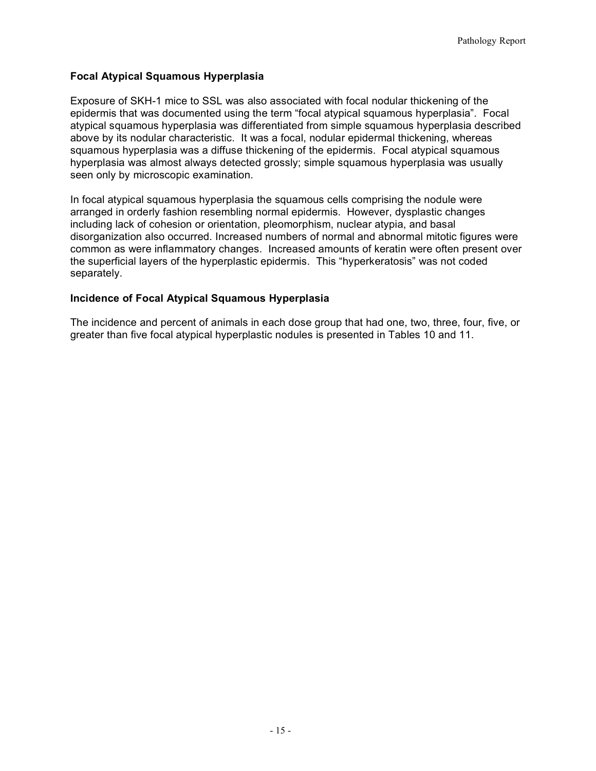## **Focal Atypical Squamous Hyperplasia**

 epidermis that was documented using the term "focal atypical squamous hyperplasia". Focal above by its nodular characteristic. It was a focal, nodular epidermal thickening, whereas squamous hyperplasia was a diffuse thickening of the epidermis. Focal atypical squamous hyperplasia was almost always detected grossly; simple squamous hyperplasia was usually seen only by microscopic examination. Exposure of SKH-1 mice to SSL was also associated with focal nodular thickening of the atypical squamous hyperplasia was differentiated from simple squamous hyperplasia described

 In focal atypical squamous hyperplasia the squamous cells comprising the nodule were arranged in orderly fashion resembling normal epidermis. However, dysplastic changes including lack of cohesion or orientation, pleomorphism, nuclear atypia, and basal disorganization also occurred. Increased numbers of normal and abnormal mitotic figures were common as were inflammatory changes. Increased amounts of keratin were often present over the superficial layers of the hyperplastic epidermis. This "hyperkeratosis" was not coded separately.

## **Incidence of Focal Atypical Squamous Hyperplasia**

 The incidence and percent of animals in each dose group that had one, two, three, four, five, or greater than five focal atypical hyperplastic nodules is presented in Tables 10 and 11.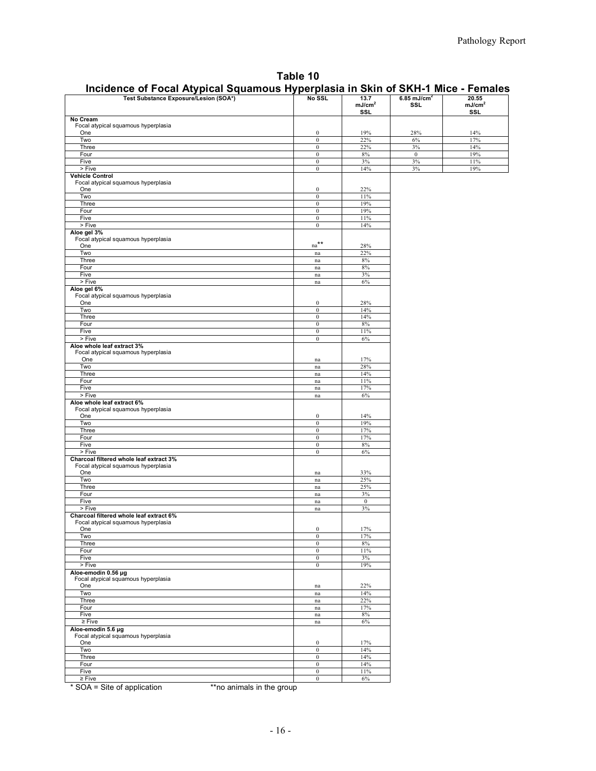| Table 10                                                                         |
|----------------------------------------------------------------------------------|
| Incidence of Focal Atypical Squamous Hyperplasia in Skin of SKH-1 Mice - Females |

| mJ/cm <sup>2</sup><br>mJ/cm <sup>2</sup><br><b>SSL</b><br>SSL.<br><b>SSL</b><br>No Cream<br>Focal atypical squamous hyperplasia<br>$\boldsymbol{0}$<br>19%<br>28%<br>14%<br>One<br>22%<br>Two<br>$\bf{0}$<br>$6\%$<br>17%<br>$\boldsymbol{0}$<br>22%<br>$3\%$<br>14%<br>Three<br>19%<br>Four<br>$\bf{0}$<br>$8\%$<br>$\bf{0}$<br>3%<br>3%<br>Five<br>$\bf{0}$<br>11%<br>> Five<br>$3\%$<br>19%<br>$\bf{0}$<br>14%<br><b>Vehicle Control</b><br>Focal atypical squamous hyperplasia<br>One<br>$\boldsymbol{0}$<br>22%<br>Two<br>$\boldsymbol{0}$<br>11%<br>19%<br>Three<br>$\bf{0}$<br>19%<br>Four<br>$\bf{0}$<br>Five<br>$\bf{0}$<br>11%<br>$>$ Five<br>14%<br>$\bf{0}$<br>Aloe gel 3%<br>Focal atypical squamous hyperplasia<br>$na***$<br>One<br>28%<br>22%<br>Two<br>na<br>8%<br>Three<br>na<br>8%<br>Four<br>na<br>Five<br>3%<br>na<br>> Five<br>$6\%$<br>na<br>Aloe gel 6%<br>Focal atypical squamous hyperplasia<br>One<br>$\bf{0}$<br>28%<br>Two<br>$\overline{0}$<br>14%<br>Three<br>$\boldsymbol{0}$<br>14%<br>8%<br>Four<br>$\boldsymbol{0}$<br>Five<br>$\boldsymbol{0}$<br>11%<br>> Five<br>$\boldsymbol{0}$<br>$6\%$<br>Aloe whole leaf extract 3%<br>Focal atypical squamous hyperplasia<br>One<br>17%<br>na<br>Two<br>28%<br>na<br>14%<br>Three<br>na<br>Four<br>11%<br>$\operatorname{na}$<br>17%<br>Five<br>$\operatorname{na}$<br>> Five<br>$6\%$<br>na<br>Aloe whole leaf extract 6%<br>Focal atypical squamous hyperplasia<br>One<br>14%<br>$\bf{0}$<br>19%<br>Two<br>$\bf{0}$<br>17%<br>Three<br>$\bf{0}$<br>17%<br>Four<br>$\bf{0}$<br>Five<br>8%<br>$\bf{0}$<br>> Five<br>$\boldsymbol{0}$<br>$6\%$<br>Charcoal filtered whole leaf extract 3%<br>Focal atypical squamous hyperplasia<br>One<br>33%<br>$\,$ na<br>Two<br>25%<br>$\operatorname{na}$<br>25%<br>Three<br>$\operatorname{na}$<br>$3\%$<br>Four<br>$\operatorname{na}$<br>Five<br>$\bf{0}$<br>na<br>> Five<br>$3\%$<br>na<br>Charcoal filtered whole leaf extract 6%<br>Focal atypical squamous hyperplasia<br>17%<br>$\boldsymbol{0}$<br>One<br>Two<br>17%<br>$\bf{0}$<br>8%<br>Three<br>$\boldsymbol{0}$<br>Four<br>11%<br>$\bf{0}$<br>Five<br>3%<br>$\boldsymbol{0}$<br>> Five<br>$\boldsymbol{0}$<br>19%<br>Aloe emodin 0.56 µg<br>Focal atypical squamous hyperplasia<br>One<br>22%<br>na<br>Two<br>14%<br>na<br>22%<br>Three<br>na<br>Four<br>17%<br>na<br>Five<br>$8\%$<br>$\,$ na $\,$<br>$\geq$ Five<br>$6\%$<br>$\,$ na<br>Aloe-emodin 5.6 µg<br>Focal atypical squamous hyperplasia<br>$\boldsymbol{0}$<br>17%<br>One<br>Two<br>14%<br>$\bf{0}$<br>Three<br>$\boldsymbol{0}$<br>14% | <br>$\frac{1}{2}$<br>                 |                  | .    |                         |       |
|----------------------------------------------------------------------------------------------------------------------------------------------------------------------------------------------------------------------------------------------------------------------------------------------------------------------------------------------------------------------------------------------------------------------------------------------------------------------------------------------------------------------------------------------------------------------------------------------------------------------------------------------------------------------------------------------------------------------------------------------------------------------------------------------------------------------------------------------------------------------------------------------------------------------------------------------------------------------------------------------------------------------------------------------------------------------------------------------------------------------------------------------------------------------------------------------------------------------------------------------------------------------------------------------------------------------------------------------------------------------------------------------------------------------------------------------------------------------------------------------------------------------------------------------------------------------------------------------------------------------------------------------------------------------------------------------------------------------------------------------------------------------------------------------------------------------------------------------------------------------------------------------------------------------------------------------------------------------------------------------------------------------------------------------------------------------------------------------------------------------------------------------------------------------------------------------------------------------------------------------------------------------------------------------------------------------------------------------------------------------------------------------------------------------------------------------------------------------------------------------------------------------------------------------------------------------------------|---------------------------------------|------------------|------|-------------------------|-------|
|                                                                                                                                                                                                                                                                                                                                                                                                                                                                                                                                                                                                                                                                                                                                                                                                                                                                                                                                                                                                                                                                                                                                                                                                                                                                                                                                                                                                                                                                                                                                                                                                                                                                                                                                                                                                                                                                                                                                                                                                                                                                                                                                                                                                                                                                                                                                                                                                                                                                                                                                                                                  | Test Substance Exposure/Lesion (SOA*) | No SSL           | 13.7 | 6.85 mJ/cm <sup>2</sup> | 20.55 |
|                                                                                                                                                                                                                                                                                                                                                                                                                                                                                                                                                                                                                                                                                                                                                                                                                                                                                                                                                                                                                                                                                                                                                                                                                                                                                                                                                                                                                                                                                                                                                                                                                                                                                                                                                                                                                                                                                                                                                                                                                                                                                                                                                                                                                                                                                                                                                                                                                                                                                                                                                                                  |                                       |                  |      |                         |       |
|                                                                                                                                                                                                                                                                                                                                                                                                                                                                                                                                                                                                                                                                                                                                                                                                                                                                                                                                                                                                                                                                                                                                                                                                                                                                                                                                                                                                                                                                                                                                                                                                                                                                                                                                                                                                                                                                                                                                                                                                                                                                                                                                                                                                                                                                                                                                                                                                                                                                                                                                                                                  |                                       |                  |      |                         |       |
|                                                                                                                                                                                                                                                                                                                                                                                                                                                                                                                                                                                                                                                                                                                                                                                                                                                                                                                                                                                                                                                                                                                                                                                                                                                                                                                                                                                                                                                                                                                                                                                                                                                                                                                                                                                                                                                                                                                                                                                                                                                                                                                                                                                                                                                                                                                                                                                                                                                                                                                                                                                  |                                       |                  |      |                         |       |
|                                                                                                                                                                                                                                                                                                                                                                                                                                                                                                                                                                                                                                                                                                                                                                                                                                                                                                                                                                                                                                                                                                                                                                                                                                                                                                                                                                                                                                                                                                                                                                                                                                                                                                                                                                                                                                                                                                                                                                                                                                                                                                                                                                                                                                                                                                                                                                                                                                                                                                                                                                                  |                                       |                  |      |                         |       |
|                                                                                                                                                                                                                                                                                                                                                                                                                                                                                                                                                                                                                                                                                                                                                                                                                                                                                                                                                                                                                                                                                                                                                                                                                                                                                                                                                                                                                                                                                                                                                                                                                                                                                                                                                                                                                                                                                                                                                                                                                                                                                                                                                                                                                                                                                                                                                                                                                                                                                                                                                                                  |                                       |                  |      |                         |       |
|                                                                                                                                                                                                                                                                                                                                                                                                                                                                                                                                                                                                                                                                                                                                                                                                                                                                                                                                                                                                                                                                                                                                                                                                                                                                                                                                                                                                                                                                                                                                                                                                                                                                                                                                                                                                                                                                                                                                                                                                                                                                                                                                                                                                                                                                                                                                                                                                                                                                                                                                                                                  |                                       |                  |      |                         |       |
|                                                                                                                                                                                                                                                                                                                                                                                                                                                                                                                                                                                                                                                                                                                                                                                                                                                                                                                                                                                                                                                                                                                                                                                                                                                                                                                                                                                                                                                                                                                                                                                                                                                                                                                                                                                                                                                                                                                                                                                                                                                                                                                                                                                                                                                                                                                                                                                                                                                                                                                                                                                  |                                       |                  |      |                         |       |
|                                                                                                                                                                                                                                                                                                                                                                                                                                                                                                                                                                                                                                                                                                                                                                                                                                                                                                                                                                                                                                                                                                                                                                                                                                                                                                                                                                                                                                                                                                                                                                                                                                                                                                                                                                                                                                                                                                                                                                                                                                                                                                                                                                                                                                                                                                                                                                                                                                                                                                                                                                                  |                                       |                  |      |                         |       |
|                                                                                                                                                                                                                                                                                                                                                                                                                                                                                                                                                                                                                                                                                                                                                                                                                                                                                                                                                                                                                                                                                                                                                                                                                                                                                                                                                                                                                                                                                                                                                                                                                                                                                                                                                                                                                                                                                                                                                                                                                                                                                                                                                                                                                                                                                                                                                                                                                                                                                                                                                                                  |                                       |                  |      |                         |       |
|                                                                                                                                                                                                                                                                                                                                                                                                                                                                                                                                                                                                                                                                                                                                                                                                                                                                                                                                                                                                                                                                                                                                                                                                                                                                                                                                                                                                                                                                                                                                                                                                                                                                                                                                                                                                                                                                                                                                                                                                                                                                                                                                                                                                                                                                                                                                                                                                                                                                                                                                                                                  |                                       |                  |      |                         |       |
|                                                                                                                                                                                                                                                                                                                                                                                                                                                                                                                                                                                                                                                                                                                                                                                                                                                                                                                                                                                                                                                                                                                                                                                                                                                                                                                                                                                                                                                                                                                                                                                                                                                                                                                                                                                                                                                                                                                                                                                                                                                                                                                                                                                                                                                                                                                                                                                                                                                                                                                                                                                  |                                       |                  |      |                         |       |
|                                                                                                                                                                                                                                                                                                                                                                                                                                                                                                                                                                                                                                                                                                                                                                                                                                                                                                                                                                                                                                                                                                                                                                                                                                                                                                                                                                                                                                                                                                                                                                                                                                                                                                                                                                                                                                                                                                                                                                                                                                                                                                                                                                                                                                                                                                                                                                                                                                                                                                                                                                                  |                                       |                  |      |                         |       |
|                                                                                                                                                                                                                                                                                                                                                                                                                                                                                                                                                                                                                                                                                                                                                                                                                                                                                                                                                                                                                                                                                                                                                                                                                                                                                                                                                                                                                                                                                                                                                                                                                                                                                                                                                                                                                                                                                                                                                                                                                                                                                                                                                                                                                                                                                                                                                                                                                                                                                                                                                                                  |                                       |                  |      |                         |       |
|                                                                                                                                                                                                                                                                                                                                                                                                                                                                                                                                                                                                                                                                                                                                                                                                                                                                                                                                                                                                                                                                                                                                                                                                                                                                                                                                                                                                                                                                                                                                                                                                                                                                                                                                                                                                                                                                                                                                                                                                                                                                                                                                                                                                                                                                                                                                                                                                                                                                                                                                                                                  |                                       |                  |      |                         |       |
|                                                                                                                                                                                                                                                                                                                                                                                                                                                                                                                                                                                                                                                                                                                                                                                                                                                                                                                                                                                                                                                                                                                                                                                                                                                                                                                                                                                                                                                                                                                                                                                                                                                                                                                                                                                                                                                                                                                                                                                                                                                                                                                                                                                                                                                                                                                                                                                                                                                                                                                                                                                  |                                       |                  |      |                         |       |
|                                                                                                                                                                                                                                                                                                                                                                                                                                                                                                                                                                                                                                                                                                                                                                                                                                                                                                                                                                                                                                                                                                                                                                                                                                                                                                                                                                                                                                                                                                                                                                                                                                                                                                                                                                                                                                                                                                                                                                                                                                                                                                                                                                                                                                                                                                                                                                                                                                                                                                                                                                                  |                                       |                  |      |                         |       |
|                                                                                                                                                                                                                                                                                                                                                                                                                                                                                                                                                                                                                                                                                                                                                                                                                                                                                                                                                                                                                                                                                                                                                                                                                                                                                                                                                                                                                                                                                                                                                                                                                                                                                                                                                                                                                                                                                                                                                                                                                                                                                                                                                                                                                                                                                                                                                                                                                                                                                                                                                                                  |                                       |                  |      |                         |       |
|                                                                                                                                                                                                                                                                                                                                                                                                                                                                                                                                                                                                                                                                                                                                                                                                                                                                                                                                                                                                                                                                                                                                                                                                                                                                                                                                                                                                                                                                                                                                                                                                                                                                                                                                                                                                                                                                                                                                                                                                                                                                                                                                                                                                                                                                                                                                                                                                                                                                                                                                                                                  |                                       |                  |      |                         |       |
|                                                                                                                                                                                                                                                                                                                                                                                                                                                                                                                                                                                                                                                                                                                                                                                                                                                                                                                                                                                                                                                                                                                                                                                                                                                                                                                                                                                                                                                                                                                                                                                                                                                                                                                                                                                                                                                                                                                                                                                                                                                                                                                                                                                                                                                                                                                                                                                                                                                                                                                                                                                  |                                       |                  |      |                         |       |
|                                                                                                                                                                                                                                                                                                                                                                                                                                                                                                                                                                                                                                                                                                                                                                                                                                                                                                                                                                                                                                                                                                                                                                                                                                                                                                                                                                                                                                                                                                                                                                                                                                                                                                                                                                                                                                                                                                                                                                                                                                                                                                                                                                                                                                                                                                                                                                                                                                                                                                                                                                                  |                                       |                  |      |                         |       |
|                                                                                                                                                                                                                                                                                                                                                                                                                                                                                                                                                                                                                                                                                                                                                                                                                                                                                                                                                                                                                                                                                                                                                                                                                                                                                                                                                                                                                                                                                                                                                                                                                                                                                                                                                                                                                                                                                                                                                                                                                                                                                                                                                                                                                                                                                                                                                                                                                                                                                                                                                                                  |                                       |                  |      |                         |       |
|                                                                                                                                                                                                                                                                                                                                                                                                                                                                                                                                                                                                                                                                                                                                                                                                                                                                                                                                                                                                                                                                                                                                                                                                                                                                                                                                                                                                                                                                                                                                                                                                                                                                                                                                                                                                                                                                                                                                                                                                                                                                                                                                                                                                                                                                                                                                                                                                                                                                                                                                                                                  |                                       |                  |      |                         |       |
|                                                                                                                                                                                                                                                                                                                                                                                                                                                                                                                                                                                                                                                                                                                                                                                                                                                                                                                                                                                                                                                                                                                                                                                                                                                                                                                                                                                                                                                                                                                                                                                                                                                                                                                                                                                                                                                                                                                                                                                                                                                                                                                                                                                                                                                                                                                                                                                                                                                                                                                                                                                  |                                       |                  |      |                         |       |
|                                                                                                                                                                                                                                                                                                                                                                                                                                                                                                                                                                                                                                                                                                                                                                                                                                                                                                                                                                                                                                                                                                                                                                                                                                                                                                                                                                                                                                                                                                                                                                                                                                                                                                                                                                                                                                                                                                                                                                                                                                                                                                                                                                                                                                                                                                                                                                                                                                                                                                                                                                                  |                                       |                  |      |                         |       |
|                                                                                                                                                                                                                                                                                                                                                                                                                                                                                                                                                                                                                                                                                                                                                                                                                                                                                                                                                                                                                                                                                                                                                                                                                                                                                                                                                                                                                                                                                                                                                                                                                                                                                                                                                                                                                                                                                                                                                                                                                                                                                                                                                                                                                                                                                                                                                                                                                                                                                                                                                                                  |                                       |                  |      |                         |       |
|                                                                                                                                                                                                                                                                                                                                                                                                                                                                                                                                                                                                                                                                                                                                                                                                                                                                                                                                                                                                                                                                                                                                                                                                                                                                                                                                                                                                                                                                                                                                                                                                                                                                                                                                                                                                                                                                                                                                                                                                                                                                                                                                                                                                                                                                                                                                                                                                                                                                                                                                                                                  |                                       |                  |      |                         |       |
|                                                                                                                                                                                                                                                                                                                                                                                                                                                                                                                                                                                                                                                                                                                                                                                                                                                                                                                                                                                                                                                                                                                                                                                                                                                                                                                                                                                                                                                                                                                                                                                                                                                                                                                                                                                                                                                                                                                                                                                                                                                                                                                                                                                                                                                                                                                                                                                                                                                                                                                                                                                  |                                       |                  |      |                         |       |
|                                                                                                                                                                                                                                                                                                                                                                                                                                                                                                                                                                                                                                                                                                                                                                                                                                                                                                                                                                                                                                                                                                                                                                                                                                                                                                                                                                                                                                                                                                                                                                                                                                                                                                                                                                                                                                                                                                                                                                                                                                                                                                                                                                                                                                                                                                                                                                                                                                                                                                                                                                                  |                                       |                  |      |                         |       |
|                                                                                                                                                                                                                                                                                                                                                                                                                                                                                                                                                                                                                                                                                                                                                                                                                                                                                                                                                                                                                                                                                                                                                                                                                                                                                                                                                                                                                                                                                                                                                                                                                                                                                                                                                                                                                                                                                                                                                                                                                                                                                                                                                                                                                                                                                                                                                                                                                                                                                                                                                                                  |                                       |                  |      |                         |       |
|                                                                                                                                                                                                                                                                                                                                                                                                                                                                                                                                                                                                                                                                                                                                                                                                                                                                                                                                                                                                                                                                                                                                                                                                                                                                                                                                                                                                                                                                                                                                                                                                                                                                                                                                                                                                                                                                                                                                                                                                                                                                                                                                                                                                                                                                                                                                                                                                                                                                                                                                                                                  |                                       |                  |      |                         |       |
|                                                                                                                                                                                                                                                                                                                                                                                                                                                                                                                                                                                                                                                                                                                                                                                                                                                                                                                                                                                                                                                                                                                                                                                                                                                                                                                                                                                                                                                                                                                                                                                                                                                                                                                                                                                                                                                                                                                                                                                                                                                                                                                                                                                                                                                                                                                                                                                                                                                                                                                                                                                  |                                       |                  |      |                         |       |
|                                                                                                                                                                                                                                                                                                                                                                                                                                                                                                                                                                                                                                                                                                                                                                                                                                                                                                                                                                                                                                                                                                                                                                                                                                                                                                                                                                                                                                                                                                                                                                                                                                                                                                                                                                                                                                                                                                                                                                                                                                                                                                                                                                                                                                                                                                                                                                                                                                                                                                                                                                                  |                                       |                  |      |                         |       |
|                                                                                                                                                                                                                                                                                                                                                                                                                                                                                                                                                                                                                                                                                                                                                                                                                                                                                                                                                                                                                                                                                                                                                                                                                                                                                                                                                                                                                                                                                                                                                                                                                                                                                                                                                                                                                                                                                                                                                                                                                                                                                                                                                                                                                                                                                                                                                                                                                                                                                                                                                                                  |                                       |                  |      |                         |       |
|                                                                                                                                                                                                                                                                                                                                                                                                                                                                                                                                                                                                                                                                                                                                                                                                                                                                                                                                                                                                                                                                                                                                                                                                                                                                                                                                                                                                                                                                                                                                                                                                                                                                                                                                                                                                                                                                                                                                                                                                                                                                                                                                                                                                                                                                                                                                                                                                                                                                                                                                                                                  |                                       |                  |      |                         |       |
|                                                                                                                                                                                                                                                                                                                                                                                                                                                                                                                                                                                                                                                                                                                                                                                                                                                                                                                                                                                                                                                                                                                                                                                                                                                                                                                                                                                                                                                                                                                                                                                                                                                                                                                                                                                                                                                                                                                                                                                                                                                                                                                                                                                                                                                                                                                                                                                                                                                                                                                                                                                  |                                       |                  |      |                         |       |
|                                                                                                                                                                                                                                                                                                                                                                                                                                                                                                                                                                                                                                                                                                                                                                                                                                                                                                                                                                                                                                                                                                                                                                                                                                                                                                                                                                                                                                                                                                                                                                                                                                                                                                                                                                                                                                                                                                                                                                                                                                                                                                                                                                                                                                                                                                                                                                                                                                                                                                                                                                                  |                                       |                  |      |                         |       |
|                                                                                                                                                                                                                                                                                                                                                                                                                                                                                                                                                                                                                                                                                                                                                                                                                                                                                                                                                                                                                                                                                                                                                                                                                                                                                                                                                                                                                                                                                                                                                                                                                                                                                                                                                                                                                                                                                                                                                                                                                                                                                                                                                                                                                                                                                                                                                                                                                                                                                                                                                                                  |                                       |                  |      |                         |       |
|                                                                                                                                                                                                                                                                                                                                                                                                                                                                                                                                                                                                                                                                                                                                                                                                                                                                                                                                                                                                                                                                                                                                                                                                                                                                                                                                                                                                                                                                                                                                                                                                                                                                                                                                                                                                                                                                                                                                                                                                                                                                                                                                                                                                                                                                                                                                                                                                                                                                                                                                                                                  |                                       |                  |      |                         |       |
|                                                                                                                                                                                                                                                                                                                                                                                                                                                                                                                                                                                                                                                                                                                                                                                                                                                                                                                                                                                                                                                                                                                                                                                                                                                                                                                                                                                                                                                                                                                                                                                                                                                                                                                                                                                                                                                                                                                                                                                                                                                                                                                                                                                                                                                                                                                                                                                                                                                                                                                                                                                  |                                       |                  |      |                         |       |
|                                                                                                                                                                                                                                                                                                                                                                                                                                                                                                                                                                                                                                                                                                                                                                                                                                                                                                                                                                                                                                                                                                                                                                                                                                                                                                                                                                                                                                                                                                                                                                                                                                                                                                                                                                                                                                                                                                                                                                                                                                                                                                                                                                                                                                                                                                                                                                                                                                                                                                                                                                                  |                                       |                  |      |                         |       |
|                                                                                                                                                                                                                                                                                                                                                                                                                                                                                                                                                                                                                                                                                                                                                                                                                                                                                                                                                                                                                                                                                                                                                                                                                                                                                                                                                                                                                                                                                                                                                                                                                                                                                                                                                                                                                                                                                                                                                                                                                                                                                                                                                                                                                                                                                                                                                                                                                                                                                                                                                                                  |                                       |                  |      |                         |       |
|                                                                                                                                                                                                                                                                                                                                                                                                                                                                                                                                                                                                                                                                                                                                                                                                                                                                                                                                                                                                                                                                                                                                                                                                                                                                                                                                                                                                                                                                                                                                                                                                                                                                                                                                                                                                                                                                                                                                                                                                                                                                                                                                                                                                                                                                                                                                                                                                                                                                                                                                                                                  |                                       |                  |      |                         |       |
|                                                                                                                                                                                                                                                                                                                                                                                                                                                                                                                                                                                                                                                                                                                                                                                                                                                                                                                                                                                                                                                                                                                                                                                                                                                                                                                                                                                                                                                                                                                                                                                                                                                                                                                                                                                                                                                                                                                                                                                                                                                                                                                                                                                                                                                                                                                                                                                                                                                                                                                                                                                  |                                       |                  |      |                         |       |
|                                                                                                                                                                                                                                                                                                                                                                                                                                                                                                                                                                                                                                                                                                                                                                                                                                                                                                                                                                                                                                                                                                                                                                                                                                                                                                                                                                                                                                                                                                                                                                                                                                                                                                                                                                                                                                                                                                                                                                                                                                                                                                                                                                                                                                                                                                                                                                                                                                                                                                                                                                                  |                                       |                  |      |                         |       |
|                                                                                                                                                                                                                                                                                                                                                                                                                                                                                                                                                                                                                                                                                                                                                                                                                                                                                                                                                                                                                                                                                                                                                                                                                                                                                                                                                                                                                                                                                                                                                                                                                                                                                                                                                                                                                                                                                                                                                                                                                                                                                                                                                                                                                                                                                                                                                                                                                                                                                                                                                                                  |                                       |                  |      |                         |       |
|                                                                                                                                                                                                                                                                                                                                                                                                                                                                                                                                                                                                                                                                                                                                                                                                                                                                                                                                                                                                                                                                                                                                                                                                                                                                                                                                                                                                                                                                                                                                                                                                                                                                                                                                                                                                                                                                                                                                                                                                                                                                                                                                                                                                                                                                                                                                                                                                                                                                                                                                                                                  |                                       |                  |      |                         |       |
|                                                                                                                                                                                                                                                                                                                                                                                                                                                                                                                                                                                                                                                                                                                                                                                                                                                                                                                                                                                                                                                                                                                                                                                                                                                                                                                                                                                                                                                                                                                                                                                                                                                                                                                                                                                                                                                                                                                                                                                                                                                                                                                                                                                                                                                                                                                                                                                                                                                                                                                                                                                  |                                       |                  |      |                         |       |
|                                                                                                                                                                                                                                                                                                                                                                                                                                                                                                                                                                                                                                                                                                                                                                                                                                                                                                                                                                                                                                                                                                                                                                                                                                                                                                                                                                                                                                                                                                                                                                                                                                                                                                                                                                                                                                                                                                                                                                                                                                                                                                                                                                                                                                                                                                                                                                                                                                                                                                                                                                                  |                                       |                  |      |                         |       |
|                                                                                                                                                                                                                                                                                                                                                                                                                                                                                                                                                                                                                                                                                                                                                                                                                                                                                                                                                                                                                                                                                                                                                                                                                                                                                                                                                                                                                                                                                                                                                                                                                                                                                                                                                                                                                                                                                                                                                                                                                                                                                                                                                                                                                                                                                                                                                                                                                                                                                                                                                                                  |                                       |                  |      |                         |       |
|                                                                                                                                                                                                                                                                                                                                                                                                                                                                                                                                                                                                                                                                                                                                                                                                                                                                                                                                                                                                                                                                                                                                                                                                                                                                                                                                                                                                                                                                                                                                                                                                                                                                                                                                                                                                                                                                                                                                                                                                                                                                                                                                                                                                                                                                                                                                                                                                                                                                                                                                                                                  |                                       |                  |      |                         |       |
|                                                                                                                                                                                                                                                                                                                                                                                                                                                                                                                                                                                                                                                                                                                                                                                                                                                                                                                                                                                                                                                                                                                                                                                                                                                                                                                                                                                                                                                                                                                                                                                                                                                                                                                                                                                                                                                                                                                                                                                                                                                                                                                                                                                                                                                                                                                                                                                                                                                                                                                                                                                  |                                       |                  |      |                         |       |
|                                                                                                                                                                                                                                                                                                                                                                                                                                                                                                                                                                                                                                                                                                                                                                                                                                                                                                                                                                                                                                                                                                                                                                                                                                                                                                                                                                                                                                                                                                                                                                                                                                                                                                                                                                                                                                                                                                                                                                                                                                                                                                                                                                                                                                                                                                                                                                                                                                                                                                                                                                                  |                                       |                  |      |                         |       |
|                                                                                                                                                                                                                                                                                                                                                                                                                                                                                                                                                                                                                                                                                                                                                                                                                                                                                                                                                                                                                                                                                                                                                                                                                                                                                                                                                                                                                                                                                                                                                                                                                                                                                                                                                                                                                                                                                                                                                                                                                                                                                                                                                                                                                                                                                                                                                                                                                                                                                                                                                                                  |                                       |                  |      |                         |       |
|                                                                                                                                                                                                                                                                                                                                                                                                                                                                                                                                                                                                                                                                                                                                                                                                                                                                                                                                                                                                                                                                                                                                                                                                                                                                                                                                                                                                                                                                                                                                                                                                                                                                                                                                                                                                                                                                                                                                                                                                                                                                                                                                                                                                                                                                                                                                                                                                                                                                                                                                                                                  |                                       |                  |      |                         |       |
|                                                                                                                                                                                                                                                                                                                                                                                                                                                                                                                                                                                                                                                                                                                                                                                                                                                                                                                                                                                                                                                                                                                                                                                                                                                                                                                                                                                                                                                                                                                                                                                                                                                                                                                                                                                                                                                                                                                                                                                                                                                                                                                                                                                                                                                                                                                                                                                                                                                                                                                                                                                  |                                       |                  |      |                         |       |
|                                                                                                                                                                                                                                                                                                                                                                                                                                                                                                                                                                                                                                                                                                                                                                                                                                                                                                                                                                                                                                                                                                                                                                                                                                                                                                                                                                                                                                                                                                                                                                                                                                                                                                                                                                                                                                                                                                                                                                                                                                                                                                                                                                                                                                                                                                                                                                                                                                                                                                                                                                                  |                                       |                  |      |                         |       |
|                                                                                                                                                                                                                                                                                                                                                                                                                                                                                                                                                                                                                                                                                                                                                                                                                                                                                                                                                                                                                                                                                                                                                                                                                                                                                                                                                                                                                                                                                                                                                                                                                                                                                                                                                                                                                                                                                                                                                                                                                                                                                                                                                                                                                                                                                                                                                                                                                                                                                                                                                                                  |                                       |                  |      |                         |       |
|                                                                                                                                                                                                                                                                                                                                                                                                                                                                                                                                                                                                                                                                                                                                                                                                                                                                                                                                                                                                                                                                                                                                                                                                                                                                                                                                                                                                                                                                                                                                                                                                                                                                                                                                                                                                                                                                                                                                                                                                                                                                                                                                                                                                                                                                                                                                                                                                                                                                                                                                                                                  |                                       |                  |      |                         |       |
|                                                                                                                                                                                                                                                                                                                                                                                                                                                                                                                                                                                                                                                                                                                                                                                                                                                                                                                                                                                                                                                                                                                                                                                                                                                                                                                                                                                                                                                                                                                                                                                                                                                                                                                                                                                                                                                                                                                                                                                                                                                                                                                                                                                                                                                                                                                                                                                                                                                                                                                                                                                  |                                       |                  |      |                         |       |
|                                                                                                                                                                                                                                                                                                                                                                                                                                                                                                                                                                                                                                                                                                                                                                                                                                                                                                                                                                                                                                                                                                                                                                                                                                                                                                                                                                                                                                                                                                                                                                                                                                                                                                                                                                                                                                                                                                                                                                                                                                                                                                                                                                                                                                                                                                                                                                                                                                                                                                                                                                                  |                                       |                  |      |                         |       |
|                                                                                                                                                                                                                                                                                                                                                                                                                                                                                                                                                                                                                                                                                                                                                                                                                                                                                                                                                                                                                                                                                                                                                                                                                                                                                                                                                                                                                                                                                                                                                                                                                                                                                                                                                                                                                                                                                                                                                                                                                                                                                                                                                                                                                                                                                                                                                                                                                                                                                                                                                                                  |                                       |                  |      |                         |       |
|                                                                                                                                                                                                                                                                                                                                                                                                                                                                                                                                                                                                                                                                                                                                                                                                                                                                                                                                                                                                                                                                                                                                                                                                                                                                                                                                                                                                                                                                                                                                                                                                                                                                                                                                                                                                                                                                                                                                                                                                                                                                                                                                                                                                                                                                                                                                                                                                                                                                                                                                                                                  |                                       |                  |      |                         |       |
|                                                                                                                                                                                                                                                                                                                                                                                                                                                                                                                                                                                                                                                                                                                                                                                                                                                                                                                                                                                                                                                                                                                                                                                                                                                                                                                                                                                                                                                                                                                                                                                                                                                                                                                                                                                                                                                                                                                                                                                                                                                                                                                                                                                                                                                                                                                                                                                                                                                                                                                                                                                  |                                       |                  |      |                         |       |
|                                                                                                                                                                                                                                                                                                                                                                                                                                                                                                                                                                                                                                                                                                                                                                                                                                                                                                                                                                                                                                                                                                                                                                                                                                                                                                                                                                                                                                                                                                                                                                                                                                                                                                                                                                                                                                                                                                                                                                                                                                                                                                                                                                                                                                                                                                                                                                                                                                                                                                                                                                                  |                                       |                  |      |                         |       |
|                                                                                                                                                                                                                                                                                                                                                                                                                                                                                                                                                                                                                                                                                                                                                                                                                                                                                                                                                                                                                                                                                                                                                                                                                                                                                                                                                                                                                                                                                                                                                                                                                                                                                                                                                                                                                                                                                                                                                                                                                                                                                                                                                                                                                                                                                                                                                                                                                                                                                                                                                                                  |                                       |                  |      |                         |       |
|                                                                                                                                                                                                                                                                                                                                                                                                                                                                                                                                                                                                                                                                                                                                                                                                                                                                                                                                                                                                                                                                                                                                                                                                                                                                                                                                                                                                                                                                                                                                                                                                                                                                                                                                                                                                                                                                                                                                                                                                                                                                                                                                                                                                                                                                                                                                                                                                                                                                                                                                                                                  |                                       |                  |      |                         |       |
|                                                                                                                                                                                                                                                                                                                                                                                                                                                                                                                                                                                                                                                                                                                                                                                                                                                                                                                                                                                                                                                                                                                                                                                                                                                                                                                                                                                                                                                                                                                                                                                                                                                                                                                                                                                                                                                                                                                                                                                                                                                                                                                                                                                                                                                                                                                                                                                                                                                                                                                                                                                  |                                       |                  |      |                         |       |
|                                                                                                                                                                                                                                                                                                                                                                                                                                                                                                                                                                                                                                                                                                                                                                                                                                                                                                                                                                                                                                                                                                                                                                                                                                                                                                                                                                                                                                                                                                                                                                                                                                                                                                                                                                                                                                                                                                                                                                                                                                                                                                                                                                                                                                                                                                                                                                                                                                                                                                                                                                                  |                                       |                  |      |                         |       |
|                                                                                                                                                                                                                                                                                                                                                                                                                                                                                                                                                                                                                                                                                                                                                                                                                                                                                                                                                                                                                                                                                                                                                                                                                                                                                                                                                                                                                                                                                                                                                                                                                                                                                                                                                                                                                                                                                                                                                                                                                                                                                                                                                                                                                                                                                                                                                                                                                                                                                                                                                                                  |                                       |                  |      |                         |       |
|                                                                                                                                                                                                                                                                                                                                                                                                                                                                                                                                                                                                                                                                                                                                                                                                                                                                                                                                                                                                                                                                                                                                                                                                                                                                                                                                                                                                                                                                                                                                                                                                                                                                                                                                                                                                                                                                                                                                                                                                                                                                                                                                                                                                                                                                                                                                                                                                                                                                                                                                                                                  |                                       |                  |      |                         |       |
|                                                                                                                                                                                                                                                                                                                                                                                                                                                                                                                                                                                                                                                                                                                                                                                                                                                                                                                                                                                                                                                                                                                                                                                                                                                                                                                                                                                                                                                                                                                                                                                                                                                                                                                                                                                                                                                                                                                                                                                                                                                                                                                                                                                                                                                                                                                                                                                                                                                                                                                                                                                  |                                       |                  |      |                         |       |
|                                                                                                                                                                                                                                                                                                                                                                                                                                                                                                                                                                                                                                                                                                                                                                                                                                                                                                                                                                                                                                                                                                                                                                                                                                                                                                                                                                                                                                                                                                                                                                                                                                                                                                                                                                                                                                                                                                                                                                                                                                                                                                                                                                                                                                                                                                                                                                                                                                                                                                                                                                                  |                                       |                  |      |                         |       |
|                                                                                                                                                                                                                                                                                                                                                                                                                                                                                                                                                                                                                                                                                                                                                                                                                                                                                                                                                                                                                                                                                                                                                                                                                                                                                                                                                                                                                                                                                                                                                                                                                                                                                                                                                                                                                                                                                                                                                                                                                                                                                                                                                                                                                                                                                                                                                                                                                                                                                                                                                                                  |                                       |                  |      |                         |       |
|                                                                                                                                                                                                                                                                                                                                                                                                                                                                                                                                                                                                                                                                                                                                                                                                                                                                                                                                                                                                                                                                                                                                                                                                                                                                                                                                                                                                                                                                                                                                                                                                                                                                                                                                                                                                                                                                                                                                                                                                                                                                                                                                                                                                                                                                                                                                                                                                                                                                                                                                                                                  |                                       |                  |      |                         |       |
|                                                                                                                                                                                                                                                                                                                                                                                                                                                                                                                                                                                                                                                                                                                                                                                                                                                                                                                                                                                                                                                                                                                                                                                                                                                                                                                                                                                                                                                                                                                                                                                                                                                                                                                                                                                                                                                                                                                                                                                                                                                                                                                                                                                                                                                                                                                                                                                                                                                                                                                                                                                  | Four                                  | $\boldsymbol{0}$ | 14%  |                         |       |
| Five<br>$\boldsymbol{0}$<br>11%                                                                                                                                                                                                                                                                                                                                                                                                                                                                                                                                                                                                                                                                                                                                                                                                                                                                                                                                                                                                                                                                                                                                                                                                                                                                                                                                                                                                                                                                                                                                                                                                                                                                                                                                                                                                                                                                                                                                                                                                                                                                                                                                                                                                                                                                                                                                                                                                                                                                                                                                                  |                                       |                  |      |                         |       |
| $\geq$ Five<br>$6\%$<br>$\bf{0}$                                                                                                                                                                                                                                                                                                                                                                                                                                                                                                                                                                                                                                                                                                                                                                                                                                                                                                                                                                                                                                                                                                                                                                                                                                                                                                                                                                                                                                                                                                                                                                                                                                                                                                                                                                                                                                                                                                                                                                                                                                                                                                                                                                                                                                                                                                                                                                                                                                                                                                                                                 |                                       |                  |      |                         |       |
| * SOA = Site of application<br>** no animals in the group                                                                                                                                                                                                                                                                                                                                                                                                                                                                                                                                                                                                                                                                                                                                                                                                                                                                                                                                                                                                                                                                                                                                                                                                                                                                                                                                                                                                                                                                                                                                                                                                                                                                                                                                                                                                                                                                                                                                                                                                                                                                                                                                                                                                                                                                                                                                                                                                                                                                                                                        |                                       |                  |      |                         |       |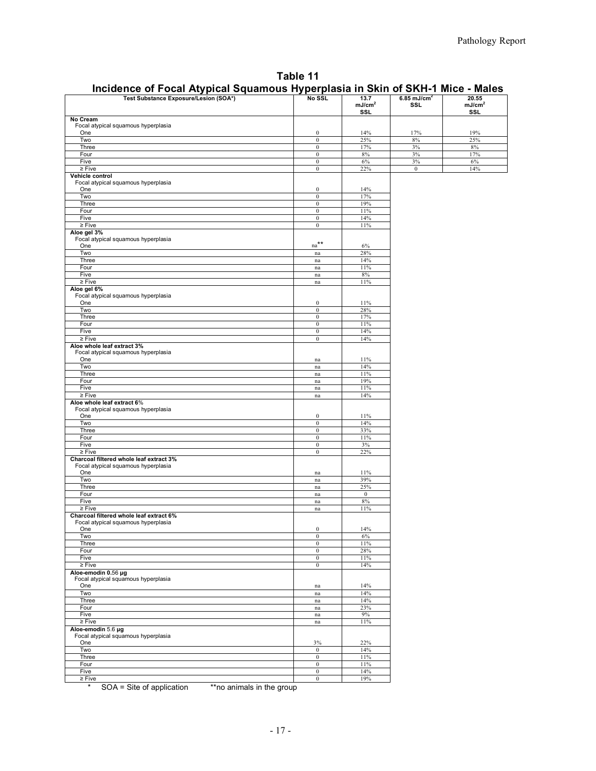| Table 11                                                                       |
|--------------------------------------------------------------------------------|
| Incidence of Focal Atypical Squamous Hyperplasia in Skin of SKH-1 Mice - Males |

| Test Substance Exposure/Lesion (SOA*)                                          | No SSL                           | 13.7               | 6.85 mJ/cm <sup>2</sup> | 20.55              |
|--------------------------------------------------------------------------------|----------------------------------|--------------------|-------------------------|--------------------|
|                                                                                |                                  | mJ/cm <sup>2</sup> | <b>SSL</b>              | mJ/cm <sup>2</sup> |
|                                                                                |                                  | <b>SSL</b>         |                         | <b>SSL</b>         |
| No Cream                                                                       |                                  |                    |                         |                    |
| Focal atypical squamous hyperplasia<br>One                                     | $\boldsymbol{0}$                 | 14%                | 17%                     | 19%                |
| Two                                                                            | $\mathbf{0}$                     | 25%                | $8\%$                   | 25%                |
| Three                                                                          | $\boldsymbol{0}$                 | 17%                | $3\%$                   | $8\%$              |
| Four                                                                           | $\boldsymbol{0}$                 | $8\%$              | $3\%$                   | 17%                |
| Five                                                                           | $\boldsymbol{0}$                 | $6\%$              | $3\%$                   | $6\%$              |
| $\geq$ Five                                                                    | $\boldsymbol{0}$                 | 22%                | $\overline{0}$          | 14%                |
| Vehicle control                                                                |                                  |                    |                         |                    |
| Focal atypical squamous hyperplasia<br>One                                     | $\boldsymbol{0}$                 | 14%                |                         |                    |
| Two                                                                            | $\boldsymbol{0}$                 | 17%                |                         |                    |
| Three                                                                          | $\boldsymbol{0}$                 | 19%                |                         |                    |
| Four                                                                           | $\boldsymbol{0}$                 | 11%                |                         |                    |
| Five                                                                           | $\mathbf{0}$                     | 14%                |                         |                    |
| $\geq$ Five                                                                    | $\mathbf{0}$                     | 11%                |                         |                    |
| Aloe gel 3%                                                                    |                                  |                    |                         |                    |
| Focal atypical squamous hyperplasia<br>One                                     | $\mathrm{na}^{\star\star}$       | $6\%$              |                         |                    |
| Two                                                                            | $\operatorname{na}$              | 28%                |                         |                    |
| Three                                                                          | na                               | 14%                |                         |                    |
| Four                                                                           | $\mathop{\mathrm{na}}$           | 11%                |                         |                    |
| Five                                                                           | $\rm na$                         | $8\%$              |                         |                    |
| $\geq$ Five                                                                    | $\mathop{\mathrm{na}}$           | 11%                |                         |                    |
| Aloe gel 6%                                                                    |                                  |                    |                         |                    |
| Focal atypical squamous hyperplasia                                            |                                  |                    |                         |                    |
| One                                                                            | $\boldsymbol{0}$                 | 11%                |                         |                    |
| Two<br>Three                                                                   | $\boldsymbol{0}$<br>$\bf{0}$     | 28%<br>17%         |                         |                    |
| Four                                                                           | $\mathbf{0}$                     | 11%                |                         |                    |
| Five                                                                           | $\boldsymbol{0}$                 | 14%                |                         |                    |
| $\geq$ Five                                                                    | $\boldsymbol{0}$                 | 14%                |                         |                    |
| Aloe whole leaf extract 3%                                                     |                                  |                    |                         |                    |
| Focal atypical squamous hyperplasia                                            |                                  |                    |                         |                    |
| One                                                                            | na                               | 11%                |                         |                    |
| Two                                                                            | na                               | 14%                |                         |                    |
| Three                                                                          | na                               | 11%                |                         |                    |
| Four                                                                           | na                               | 19%                |                         |                    |
| Five<br>$\geq$ Five                                                            | $\operatorname{na}$              | 11%<br>14%         |                         |                    |
| Aloe whole leaf extract 6%                                                     | $\mathop{\text{na}}$             |                    |                         |                    |
| Focal atypical squamous hyperplasia                                            |                                  |                    |                         |                    |
| One                                                                            | $\boldsymbol{0}$                 | 11%                |                         |                    |
| Two                                                                            | $\boldsymbol{0}$                 | 14%                |                         |                    |
| Three                                                                          | $\boldsymbol{0}$                 | 33%                |                         |                    |
| Four                                                                           | $\boldsymbol{0}$                 | 11%                |                         |                    |
| Five                                                                           | $\boldsymbol{0}$                 | 3%                 |                         |                    |
| $\geq$ Five                                                                    | $\boldsymbol{0}$                 | 22%                |                         |                    |
| Charcoal filtered whole leaf extract 3%<br>Focal atypical squamous hyperplasia |                                  |                    |                         |                    |
| One                                                                            | na                               | 11%                |                         |                    |
| Two                                                                            | na                               | 39%                |                         |                    |
| Three                                                                          | $\mathop{\mathrm{na}}$           | 25%                |                         |                    |
| Four                                                                           | $\operatorname{na}$              | $\overline{0}$     |                         |                    |
| Five                                                                           | na                               | 8%                 |                         |                    |
| $\geq$ Five                                                                    | na                               | 11%                |                         |                    |
| Charcoal filtered whole leaf extract 6%                                        |                                  |                    |                         |                    |
| Focal atypical squamous hyperplasia<br>One                                     | $\Omega$                         | 14%                |                         |                    |
| Two                                                                            | $\bf{0}$                         | 6%                 |                         |                    |
| Three                                                                          | $\boldsymbol{0}$                 | 11%                |                         |                    |
| Four                                                                           | $\mathbf{0}$                     | 28%                |                         |                    |
| Five                                                                           | $\bf{0}$                         | 11%                |                         |                    |
| $\geq$ Five                                                                    | $\boldsymbol{0}$                 | 14%                |                         |                    |
| Aloe emodin 0.56 µg                                                            |                                  |                    |                         |                    |
| Focal atypical squamous hyperplasia                                            |                                  |                    |                         |                    |
| One<br>Two                                                                     | $\mathop{\mathrm{na}}$           | 14%<br>14%         |                         |                    |
| Three                                                                          | na<br>$\operatorname{na}$        | 14%                |                         |                    |
| Four                                                                           | na                               | 23%                |                         |                    |
| Five                                                                           | $\operatorname{na}$              | 9%                 |                         |                    |
| $\geq$ Five                                                                    | $\mathop{\mathrm{na}}$           | 11%                |                         |                    |
| Aloe-emodin 5.6 µg                                                             |                                  |                    |                         |                    |
| Focal atypical squamous hyperplasia                                            |                                  |                    |                         |                    |
| One                                                                            | 3%                               | 22%                |                         |                    |
| Two                                                                            | $\boldsymbol{0}$                 | 14%                |                         |                    |
| Three                                                                          | $\boldsymbol{0}$                 | 11%                |                         |                    |
| Four<br>Five                                                                   | $\mathbf{0}$<br>$\boldsymbol{0}$ | 11%<br>14%         |                         |                    |
| $\geq$ Five                                                                    | $\mathbf{0}$                     | 19%                |                         |                    |
|                                                                                |                                  |                    |                         |                    |

\* SOA = Site of application \*\*no animals in the group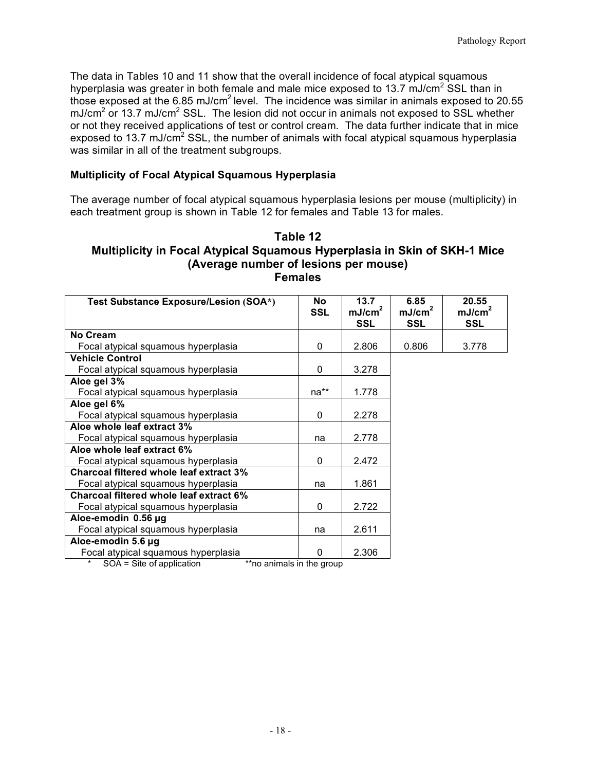The data in Tables 10 and 11 show that the overall incidence of focal atypical squamous those exposed at the 6.85 mJ/cm<sup>2</sup> level. The incidence was similar in animals exposed to 20.55 mJ/cm<sup>2</sup> or 13.7 mJ/cm<sup>2</sup> SSL. The lesion did not occur in animals not exposed to SSL whether or not they received applications of test or control cream. The data further indicate that in mice exposed to 13.7 mJ/cm<sup>2</sup> SSL, the number of animals with focal atypical squamous hyperplasia was similar in all of the treatment subgroups. hyperplasia was greater in both female and male mice exposed to 13.7 mJ/cm<sup>2</sup> SSL than in

#### **Multiplicity of Focal Atypical Squamous Hyperplasia**

 each treatment group is shown in Table 12 for females and Table 13 for males. The average number of focal atypical squamous hyperplasia lesions per mouse (multiplicity) in

## **Multiplicity in Focal Atypical Squamous Hyperplasia in Skin of SKH-1 Mice (Average number of lesions per mouse) Table 12 Females**

| Test Substance Exposure/Lesion (SOA*)   | <b>No</b><br><b>SSL</b>   | 13.7<br>mJ/cm <sup>2</sup><br><b>SSL</b> | 6.85<br>mJ/cm <sup>2</sup><br><b>SSL</b> | 20.55<br>mJ/cm <sup>2</sup><br><b>SSL</b> |
|-----------------------------------------|---------------------------|------------------------------------------|------------------------------------------|-------------------------------------------|
| No Cream                                |                           |                                          |                                          |                                           |
| Focal atypical squamous hyperplasia     | 0                         | 2.806                                    | 0.806                                    | 3.778                                     |
| <b>Vehicle Control</b>                  |                           |                                          |                                          |                                           |
| Focal atypical squamous hyperplasia     | 0                         | 3.278                                    |                                          |                                           |
| Aloe gel 3%                             |                           |                                          |                                          |                                           |
| Focal atypical squamous hyperplasia     | na**                      | 1.778                                    |                                          |                                           |
| Aloe gel 6%                             |                           |                                          |                                          |                                           |
| Focal atypical squamous hyperplasia     | 0                         | 2.278                                    |                                          |                                           |
| Aloe whole leaf extract 3%              |                           |                                          |                                          |                                           |
| Focal atypical squamous hyperplasia     | na                        | 2.778                                    |                                          |                                           |
| Aloe whole leaf extract 6%              |                           |                                          |                                          |                                           |
| Focal atypical squamous hyperplasia     | 0                         | 2.472                                    |                                          |                                           |
| Charcoal filtered whole leaf extract 3% |                           |                                          |                                          |                                           |
| Focal atypical squamous hyperplasia     | na                        | 1.861                                    |                                          |                                           |
| Charcoal filtered whole leaf extract 6% |                           |                                          |                                          |                                           |
| Focal atypical squamous hyperplasia     | 0                         | 2.722                                    |                                          |                                           |
| Aloe-emodin 0.56 µg                     |                           |                                          |                                          |                                           |
| Focal atypical squamous hyperplasia     | na                        | 2.611                                    |                                          |                                           |
| Aloe-emodin 5.6 µg                      |                           |                                          |                                          |                                           |
| Focal atypical squamous hyperplasia     | $\Omega$                  | 2.306                                    |                                          |                                           |
| SOA = Site of application               | **no animals in the group |                                          |                                          |                                           |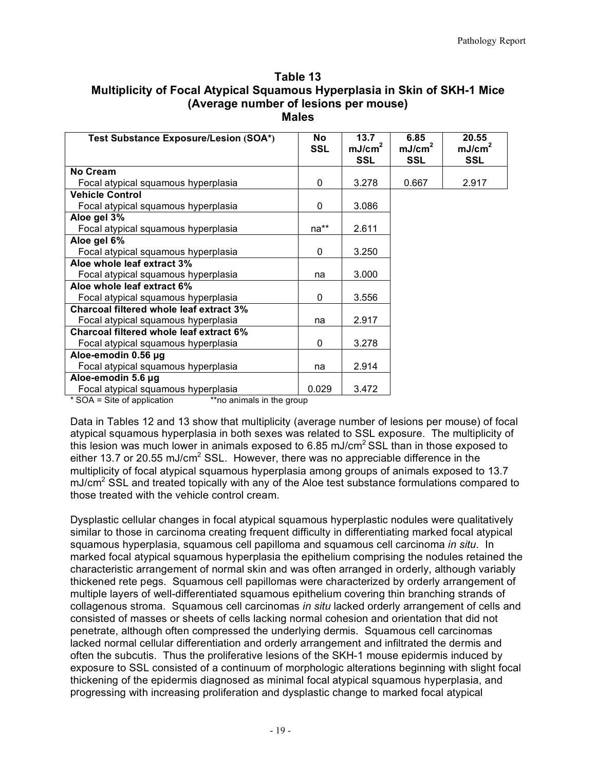| Table 13                                                                  |
|---------------------------------------------------------------------------|
| Multiplicity of Focal Atypical Squamous Hyperplasia in Skin of SKH-1 Mice |
| (Average number of lesions per mouse)                                     |
| <b>Males</b>                                                              |

| Test Substance Exposure/Lesion (SOA*)   | <b>No</b><br><b>SSL</b> | 13.7<br>mJ/cm <sup>2</sup><br>SSL | 6.85<br>mJ/cm <sup>2</sup><br>SSL | 20.55<br>mJ/cm <sup>2</sup><br><b>SSL</b> |
|-----------------------------------------|-------------------------|-----------------------------------|-----------------------------------|-------------------------------------------|
| No Cream                                |                         |                                   |                                   |                                           |
| Focal atypical squamous hyperplasia     | $\Omega$                | 3.278                             | 0.667                             | 2.917                                     |
| <b>Vehicle Control</b>                  |                         |                                   |                                   |                                           |
| Focal atypical squamous hyperplasia     | $\Omega$                | 3.086                             |                                   |                                           |
| Aloe gel 3%                             |                         |                                   |                                   |                                           |
| Focal atypical squamous hyperplasia     | na**                    | 2.611                             |                                   |                                           |
| Aloe gel 6%                             |                         |                                   |                                   |                                           |
| Focal atypical squamous hyperplasia     | $\Omega$                | 3.250                             |                                   |                                           |
| Aloe whole leaf extract 3%              |                         |                                   |                                   |                                           |
| Focal atypical squamous hyperplasia     | na                      | 3.000                             |                                   |                                           |
| Aloe whole leaf extract 6%              |                         |                                   |                                   |                                           |
| Focal atypical squamous hyperplasia     | $\mathbf{0}$            | 3.556                             |                                   |                                           |
| Charcoal filtered whole leaf extract 3% |                         |                                   |                                   |                                           |
| Focal atypical squamous hyperplasia     | na                      | 2.917                             |                                   |                                           |
| Charcoal filtered whole leaf extract 6% |                         |                                   |                                   |                                           |
| Focal atypical squamous hyperplasia     | $\mathbf{0}$            | 3.278                             |                                   |                                           |
| Aloe-emodin 0.56 µg                     |                         |                                   |                                   |                                           |
| Focal atypical squamous hyperplasia     | na                      | 2.914                             |                                   |                                           |
| Aloe-emodin 5.6 µg                      |                         |                                   |                                   |                                           |
| Focal atypical squamous hyperplasia     | 0.029                   | 3.472                             |                                   |                                           |

\*\*no animals in the group \* SOA = Site of application

Data in Tables 12 and 13 show that multiplicity (average number of lesions per mouse) of focal atypical squamous hyperplasia in both sexes was related to SSL exposure. The multiplicity of this lesion was much lower in animals exposed to 6.85 mJ/cm<sup>2</sup> SSL than in those exposed to either 13.7 or 20.55 mJ/cm<sup>2</sup> SSL. However, there was no appreciable difference in the multiplicity of focal atypical squamous hyperplasia among groups of animals exposed to 13.7  $mJ/cm<sup>2</sup>$  SSL and treated topically with any of the Aloe test substance formulations compared to those treated with the vehicle control cream.

Dysplastic cellular changes in focal atypical squamous hyperplastic nodules were qualitatively similar to those in carcinoma creating frequent difficulty in differentiating marked focal atypical squamous hyperplasia, squamous cell papilloma and squamous cell carcinoma *in situ*. In marked focal atypical squamous hyperplasia the epithelium comprising the nodules retained the characteristic arrangement of normal skin and was often arranged in orderly, although variably thickened rete pegs. Squamous cell papillomas were characterized by orderly arrangement of multiple layers of well-differentiated squamous epithelium covering thin branching strands of collagenous stroma. Squamous cell carcinomas in situ lacked orderly arrangement of cells and consisted of masses or sheets of cells lacking normal cohesion and orientation that did not penetrate, although often compressed the underlying dermis. Squamous cell carcinomas lacked normal cellular differentiation and orderly arrangement and infiltrated the dermis and often the subcutis. Thus the proliferative lesions of the SKH-1 mouse epidermis induced by exposure to SSL consisted of a continuum of morphologic alterations beginning with slight focal thickening of the epidermis diagnosed as minimal focal atypical squamous hyperplasia, and progressing with increasing proliferation and dysplastic change to marked focal atypical